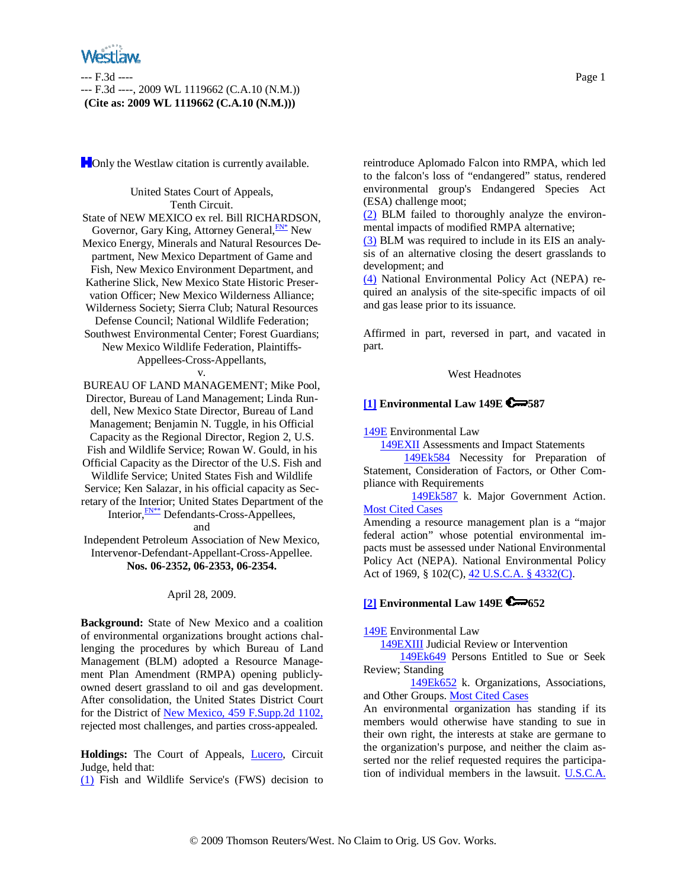**Follow** the Westlaw citation is currently available.

United States Court of Appeals, Tenth Circuit. State of NEW MEXICO ex rel. Bill RICHARDSON, Governor, Gary King, Attorney General, **FN\*** New Mexico Energy, Minerals and Natural Resources Department, New Mexico Department of Game and Fish, New Mexico Environment Department, and Katherine Slick, New Mexico State Historic Preservation Officer; New Mexico Wilderness Alliance; Wilderness Society; Sierra Club; Natural Resources Defense Council; National Wildlife Federation; Southwest Environmental Center; Forest Guardians; New Mexico Wildlife Federation, Plaintiffs-Appellees-Cross-Appellants,

v.

BUREAU OF LAND MANAGEMENT; Mike Pool, Director, Bureau of Land Management; Linda Rundell, New Mexico State Director, Bureau of Land Management; Benjamin N. Tuggle, in his Official Capacity as the Regional Director, Region 2, U.S. Fish and Wildlife Service; Rowan W. Gould, in his Official Capacity as the Director of the U.S. Fish and Wildlife Service; United States Fish and Wildlife Service; Ken Salazar, in his official capacity as Secretary of the Interior; United States Department of the Interior, FN<sup>\*\*</sup> Defendants-Cross-Appellees, and

Independent Petroleum Association of New Mexico, Intervenor-Defendant-Appellant-Cross-Appellee. **Nos. 06-2352, 06-2353, 06-2354.**

### April 28, 2009.

**Background:** State of New Mexico and a coalition of environmental organizations brought actions challenging the procedures by which Bureau of Land Management (BLM) adopted a Resource Management Plan Amendment (RMPA) opening publiclyowned desert grassland to oil and gas development. After consolidation, the United States District Court for the District of New Mexico, 459 F.Supp.2d 1102, rejected most challenges, and parties cross-appealed.

**Holdings:** The Court of Appeals, Lucero, Circuit Judge, held that:

(1) Fish and Wildlife Service's (FWS) decision to

to the falcon's loss of "endangered" status, rendered environmental group's Endangered Species Act (ESA) challenge moot;

(2) BLM failed to thoroughly analyze the environmental impacts of modified RMPA alternative;

(3) BLM was required to include in its EIS an analysis of an alternative closing the desert grasslands to development; and

(4) National Environmental Policy Act (NEPA) required an analysis of the site-specific impacts of oil and gas lease prior to its issuance.

Affirmed in part, reversed in part, and vacated in part.

### West Headnotes

# **[1] Environmental Law 149E 587**

149E Environmental Law

149EXII Assessments and Impact Statements

 149Ek584 Necessity for Preparation of Statement, Consideration of Factors, or Other Compliance with Requirements

 149Ek587 k. Major Government Action. Most Cited Cases

Amending a resource management plan is a "major federal action" whose potential environmental impacts must be assessed under National Environmental Policy Act (NEPA). National Environmental Policy Act of 1969, § 102(C), 42 U.S.C.A. § 4332(C).

# **[2] Environmental Law 149E 652**

### 149E Environmental Law

149EXIII Judicial Review or Intervention

 149Ek649 Persons Entitled to Sue or Seek Review; Standing

 149Ek652 k. Organizations, Associations, and Other Groups. Most Cited Cases

An environmental organization has standing if its members would otherwise have standing to sue in their own right, the interests at stake are germane to the organization's purpose, and neither the claim asserted nor the relief requested requires the participation of individual members in the lawsuit. U.S.C.A.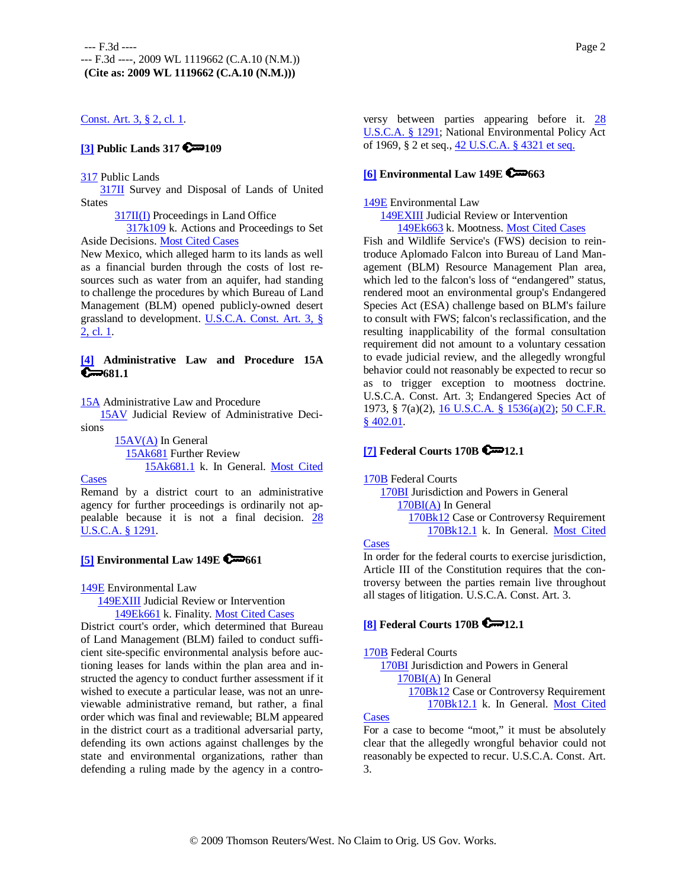# Const. Art. 3, § 2, cl. 1.

# **[3] Public Lands 317 2**109

#### 317 Public Lands

317II Survey and Disposal of Lands of United **States** 

317II(I) Proceedings in Land Office

 317k109 k. Actions and Proceedings to Set Aside Decisions. Most Cited Cases

New Mexico, which alleged harm to its lands as well as a financial burden through the costs of lost resources such as water from an aquifer, had standing to challenge the procedures by which Bureau of Land Management (BLM) opened publicly-owned desert grassland to development. U.S.C.A. Const. Art. 3, § 2, cl. 1.

### **[4] Administrative Law and Procedure 15A**   $\bigoplus 681.1$

15A Administrative Law and Procedure

 15AV Judicial Review of Administrative Decisions

> 15AV(A) In General 15Ak681 Further Review 15Ak681.1 k. In General. Most Cited

**Cases** 

Remand by a district court to an administrative agency for further proceedings is ordinarily not appealable because it is not a final decision. 28 U.S.C.A. § 1291.

# **[5] Environmental Law 149E C** $\rightarrow$  661

149E Environmental Law

149EXIII Judicial Review or Intervention

149Ek661 k. Finality. Most Cited Cases

District court's order, which determined that Bureau of Land Management (BLM) failed to conduct sufficient site-specific environmental analysis before auctioning leases for lands within the plan area and instructed the agency to conduct further assessment if it wished to execute a particular lease, was not an unreviewable administrative remand, but rather, a final order which was final and reviewable; BLM appeared in the district court as a traditional adversarial party, defending its own actions against challenges by the state and environmental organizations, rather than defending a ruling made by the agency in a contro-

versy between parties appearing before it. 28 U.S.C.A. § 1291; National Environmental Policy Act of 1969, § 2 et seq., 42 U.S.C.A. § 4321 et seq.

# **[6] Environmental Law 149E 663**

### 149E Environmental Law

149EXIII Judicial Review or Intervention

149Ek663 k. Mootness. Most Cited Cases

Fish and Wildlife Service's (FWS) decision to reintroduce Aplomado Falcon into Bureau of Land Management (BLM) Resource Management Plan area, which led to the falcon's loss of "endangered" status, rendered moot an environmental group's Endangered Species Act (ESA) challenge based on BLM's failure to consult with FWS; falcon's reclassification, and the resulting inapplicability of the formal consultation requirement did not amount to a voluntary cessation to evade judicial review, and the allegedly wrongful behavior could not reasonably be expected to recur so as to trigger exception to mootness doctrine. U.S.C.A. Const. Art. 3; Endangered Species Act of 1973, § 7(a)(2), 16 U.S.C.A. § 1536(a)(2); 50 C.F.R. § 402.01.

# **[7] Federal Courts 170B**  $\bullet$  12.1

### 170B Federal Courts

 170BI Jurisdiction and Powers in General 170BI(A) In General 170Bk12 Case or Controversy Requirement 170Bk12.1 k. In General. Most Cited

#### **Cases**

In order for the federal courts to exercise jurisdiction, Article III of the Constitution requires that the controversy between the parties remain live throughout all stages of litigation. U.S.C.A. Const. Art. 3.

# **[8] Federal Courts 170B 6 12.1**

#### 170B Federal Courts

 170BI Jurisdiction and Powers in General 170BI(A) In General 170Bk12 Case or Controversy Requirement 170Bk12.1 k. In General. Most Cited

### **Cases**

For a case to become "moot," it must be absolutely clear that the allegedly wrongful behavior could not reasonably be expected to recur. U.S.C.A. Const. Art. 3.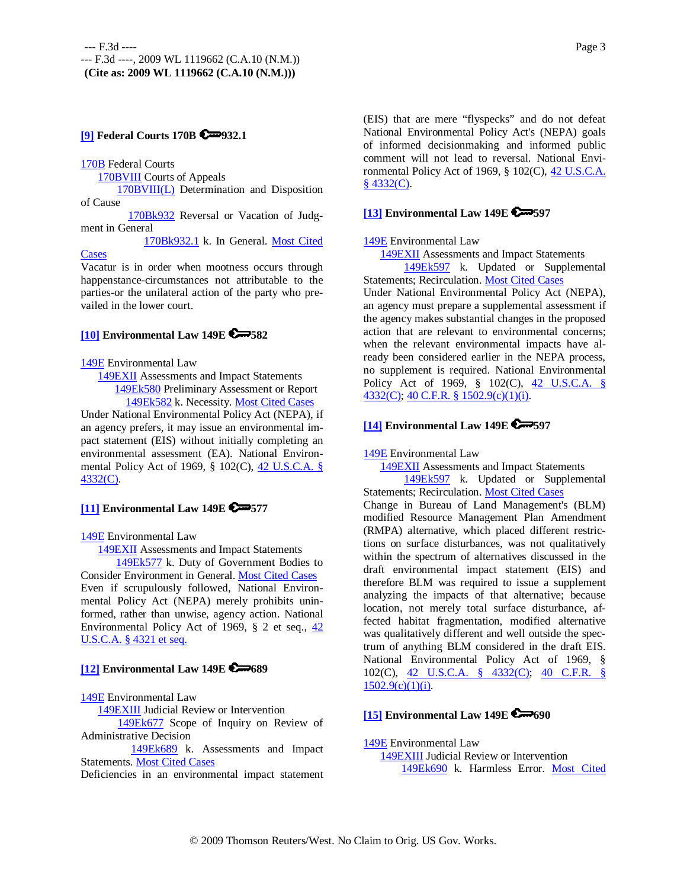# **[9] Federal Courts 170B**  $\bullet$ 932.1

170B Federal Courts

170BVIII Courts of Appeals

 170BVIII(L) Determination and Disposition of Cause

 170Bk932 Reversal or Vacation of Judgment in General

 170Bk932.1 k. In General. Most Cited **Cases** 

Vacatur is in order when mootness occurs through happenstance-circumstances not attributable to the parties-or the unilateral action of the party who prevailed in the lower court.

### **[10] Environmental Law 149E 582**

149E Environmental Law

 149EXII Assessments and Impact Statements 149Ek580 Preliminary Assessment or Report 149Ek582 k. Necessity. Most Cited Cases

Under National Environmental Policy Act (NEPA), if an agency prefers, it may issue an environmental impact statement (EIS) without initially completing an environmental assessment (EA). National Environmental Policy Act of 1969, § 102(C), 42 U.S.C.A. § 4332(C).

# **[11] Environmental Law 149E 577**

149E Environmental Law

149EXII Assessments and Impact Statements

 149Ek577 k. Duty of Government Bodies to Consider Environment in General. Most Cited Cases Even if scrupulously followed, National Environmental Policy Act (NEPA) merely prohibits uninformed, rather than unwise, agency action. National Environmental Policy Act of 1969, § 2 et seq., 42 U.S.C.A. § 4321 et seq.

# **[12] Environmental Law 149E 689**

### 149E Environmental Law

149EXIII Judicial Review or Intervention

 149Ek677 Scope of Inquiry on Review of Administrative Decision

 149Ek689 k. Assessments and Impact Statements. Most Cited Cases

Deficiencies in an environmental impact statement

(EIS) that are mere "flyspecks" and do not defeat National Environmental Policy Act's (NEPA) goals of informed decisionmaking and informed public comment will not lead to reversal. National Environmental Policy Act of 1969, § 102(C), 42 U.S.C.A.  $§$  4332(C).

### **[13] Environmental Law 149E 597**

### 149E Environmental Law

149EXII Assessments and Impact Statements

 149Ek597 k. Updated or Supplemental Statements; Recirculation. Most Cited Cases

Under National Environmental Policy Act (NEPA), an agency must prepare a supplemental assessment if the agency makes substantial changes in the proposed action that are relevant to environmental concerns; when the relevant environmental impacts have already been considered earlier in the NEPA process, no supplement is required. National Environmental Policy Act of 1969, § 102(C), 42 U.S.C.A. § 4332(C); 40 C.F.R. § 1502.9(c)(1)(i).

# **[14] Environmental Law 149E 597**

149E Environmental Law

 149EXII Assessments and Impact Statements 149Ek597 k. Updated or Supplemental Statements; Recirculation. Most Cited Cases

Change in Bureau of Land Management's (BLM) modified Resource Management Plan Amendment (RMPA) alternative, which placed different restrictions on surface disturbances, was not qualitatively within the spectrum of alternatives discussed in the draft environmental impact statement (EIS) and therefore BLM was required to issue a supplement analyzing the impacts of that alternative; because location, not merely total surface disturbance, affected habitat fragmentation, modified alternative was qualitatively different and well outside the spectrum of anything BLM considered in the draft EIS. National Environmental Policy Act of 1969, § 102(C), 42 U.S.C.A. § 4332(C); 40 C.F.R. §  $1502.9(c)(1)(i)$ .

# **[15] Environmental Law 149E 690**

149E Environmental Law 149EXIII Judicial Review or Intervention 149Ek690 k. Harmless Error. Most Cited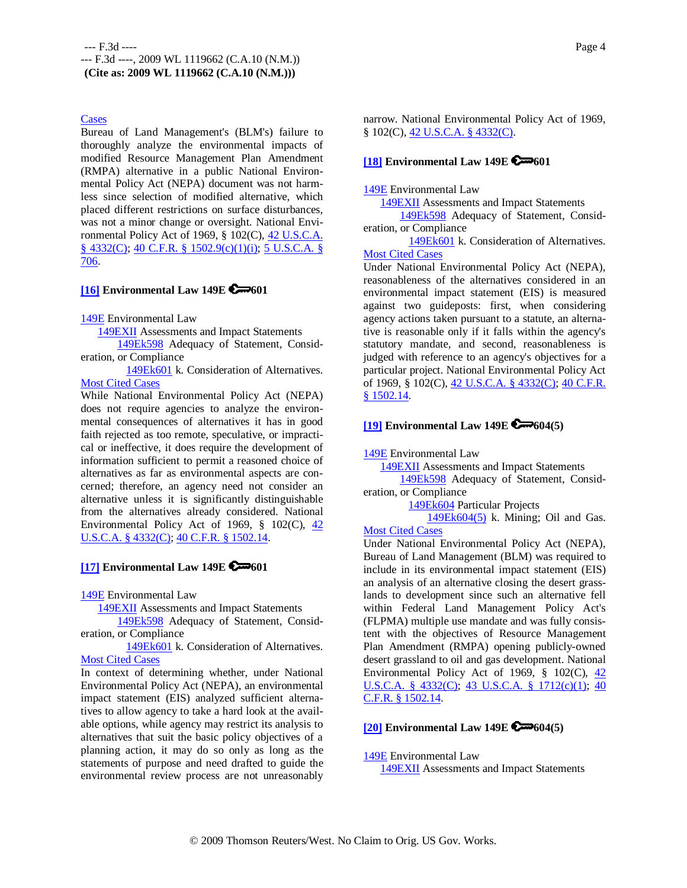### Cases

Bureau of Land Management's (BLM's) failure to thoroughly analyze the environmental impacts of modified Resource Management Plan Amendment (RMPA) alternative in a public National Environmental Policy Act (NEPA) document was not harmless since selection of modified alternative, which placed different restrictions on surface disturbances, was not a minor change or oversight. National Environmental Policy Act of 1969, § 102(C), 42 U.S.C.A. § 4332(C); 40 C.F.R. § 1502.9(c)(1)(i); 5 U.S.C.A. § 706.

# **[16] Environmental Law 149E 6 - 601**

#### 149E Environmental Law

149EXII Assessments and Impact Statements

 149Ek598 Adequacy of Statement, Consideration, or Compliance

 149Ek601 k. Consideration of Alternatives. **Most Cited Cases** 

While National Environmental Policy Act (NEPA) does not require agencies to analyze the environmental consequences of alternatives it has in good faith rejected as too remote, speculative, or impractical or ineffective, it does require the development of information sufficient to permit a reasoned choice of alternatives as far as environmental aspects are concerned; therefore, an agency need not consider an alternative unless it is significantly distinguishable from the alternatives already considered. National Environmental Policy Act of 1969, § 102(C), 42 U.S.C.A. § 4332(C); 40 C.F.R. § 1502.14.

# **[17] Environmental Law 149E 2**601

149E Environmental Law

149EXII Assessments and Impact Statements

 149Ek598 Adequacy of Statement, Consideration, or Compliance

 149Ek601 k. Consideration of Alternatives. Most Cited Cases

In context of determining whether, under National Environmental Policy Act (NEPA), an environmental impact statement (EIS) analyzed sufficient alternatives to allow agency to take a hard look at the available options, while agency may restrict its analysis to alternatives that suit the basic policy objectives of a planning action, it may do so only as long as the statements of purpose and need drafted to guide the environmental review process are not unreasonably

narrow. National Environmental Policy Act of 1969, § 102(C), 42 U.S.C.A. § 4332(C).

### **[18] Environmental Law 149E 601**

### 149E Environmental Law

 149EXII Assessments and Impact Statements 149Ek598 Adequacy of Statement, Consideration, or Compliance

 149Ek601 k. Consideration of Alternatives. Most Cited Cases

Under National Environmental Policy Act (NEPA), reasonableness of the alternatives considered in an environmental impact statement (EIS) is measured against two guideposts: first, when considering agency actions taken pursuant to a statute, an alternative is reasonable only if it falls within the agency's statutory mandate, and second, reasonableness is judged with reference to an agency's objectives for a particular project. National Environmental Policy Act of 1969, § 102(C), 42 U.S.C.A. § 4332(C); 40 C.F.R. § 1502.14.

# **[19] Environmental Law 149E 604(5)**

149E Environmental Law

 149EXII Assessments and Impact Statements 149Ek598 Adequacy of Statement, Consideration, or Compliance

149Ek604 Particular Projects

149Ek604(5) k. Mining; Oil and Gas.

# **Most Cited Cases**

Under National Environmental Policy Act (NEPA), Bureau of Land Management (BLM) was required to include in its environmental impact statement (EIS) an analysis of an alternative closing the desert grasslands to development since such an alternative fell within Federal Land Management Policy Act's (FLPMA) multiple use mandate and was fully consistent with the objectives of Resource Management Plan Amendment (RMPA) opening publicly-owned desert grassland to oil and gas development. National Environmental Policy Act of 1969,  $\S$  102(C),  $\frac{42}{3}$ U.S.C.A. § 4332(C); 43 U.S.C.A. § 1712(c)(1); 40 C.F.R. § 1502.14.

# **[20] Environmental Law 149E 604(5)**

#### 149E Environmental Law

149EXII Assessments and Impact Statements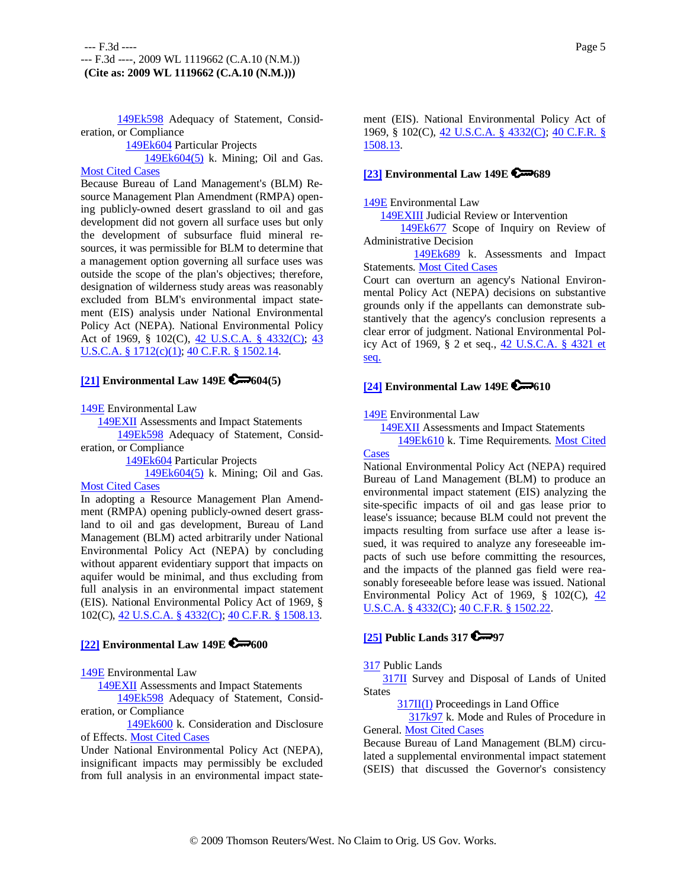149Ek598 Adequacy of Statement, Consideration, or Compliance

149Ek604 Particular Projects

149Ek604(5) k. Mining; Oil and Gas.

# **Most Cited Cases**

Because Bureau of Land Management's (BLM) Resource Management Plan Amendment (RMPA) opening publicly-owned desert grassland to oil and gas development did not govern all surface uses but only the development of subsurface fluid mineral resources, it was permissible for BLM to determine that a management option governing all surface uses was outside the scope of the plan's objectives; therefore, designation of wilderness study areas was reasonably excluded from BLM's environmental impact statement (EIS) analysis under National Environmental Policy Act (NEPA). National Environmental Policy Act of 1969, § 102(C), 42 U.S.C.A. § 4332(C); 43 U.S.C.A. § 1712(c)(1); 40 C.F.R. § 1502.14.

### **[21] Environmental Law 149E 604(5)**

149E Environmental Law

149EXII Assessments and Impact Statements

 149Ek598 Adequacy of Statement, Consideration, or Compliance

149Ek604 Particular Projects

 149Ek604(5) k. Mining; Oil and Gas. Most Cited Cases

In adopting a Resource Management Plan Amendment (RMPA) opening publicly-owned desert grassland to oil and gas development, Bureau of Land Management (BLM) acted arbitrarily under National Environmental Policy Act (NEPA) by concluding without apparent evidentiary support that impacts on aquifer would be minimal, and thus excluding from full analysis in an environmental impact statement (EIS). National Environmental Policy Act of 1969, § 102(C), 42 U.S.C.A. § 4332(C); 40 C.F.R. § 1508.13.

## **[22] Environmental Law 149E 6 600**

149E Environmental Law

149EXII Assessments and Impact Statements

 149Ek598 Adequacy of Statement, Consideration, or Compliance

 149Ek600 k. Consideration and Disclosure of Effects. Most Cited Cases

Under National Environmental Policy Act (NEPA), insignificant impacts may permissibly be excluded from full analysis in an environmental impact statement (EIS). National Environmental Policy Act of 1969, § 102(C), 42 U.S.C.A. § 4332(C); 40 C.F.R. § 1508.13.

# **[23] Environmental Law 149E 689**

### 149E Environmental Law

149EXIII Judicial Review or Intervention

 149Ek677 Scope of Inquiry on Review of Administrative Decision

149Ek689 k. Assessments and Impact Statements. Most Cited Cases

Court can overturn an agency's National Environmental Policy Act (NEPA) decisions on substantive grounds only if the appellants can demonstrate substantively that the agency's conclusion represents a clear error of judgment. National Environmental Policy Act of 1969, § 2 et seq., 42 U.S.C.A. § 4321 et seq.

# **[24] Environmental Law 149E 610**

### 149E Environmental Law

 149EXII Assessments and Impact Statements 149Ek610 k. Time Requirements. Most Cited

**Cases** National Environmental Policy Act (NEPA) required Bureau of Land Management (BLM) to produce an environmental impact statement (EIS) analyzing the site-specific impacts of oil and gas lease prior to lease's issuance; because BLM could not prevent the impacts resulting from surface use after a lease issued, it was required to analyze any foreseeable impacts of such use before committing the resources, and the impacts of the planned gas field were reasonably foreseeable before lease was issued. National Environmental Policy Act of 1969,  $\S$  102(C),  $\frac{42}{3}$ U.S.C.A. § 4332(C); 40 C.F.R. § 1502.22.

### **[25] Public Lands 317 67797**

### 317 Public Lands

 317II Survey and Disposal of Lands of United States

317II(I) Proceedings in Land Office

 317k97 k. Mode and Rules of Procedure in General. Most Cited Cases

Because Bureau of Land Management (BLM) circulated a supplemental environmental impact statement (SEIS) that discussed the Governor's consistency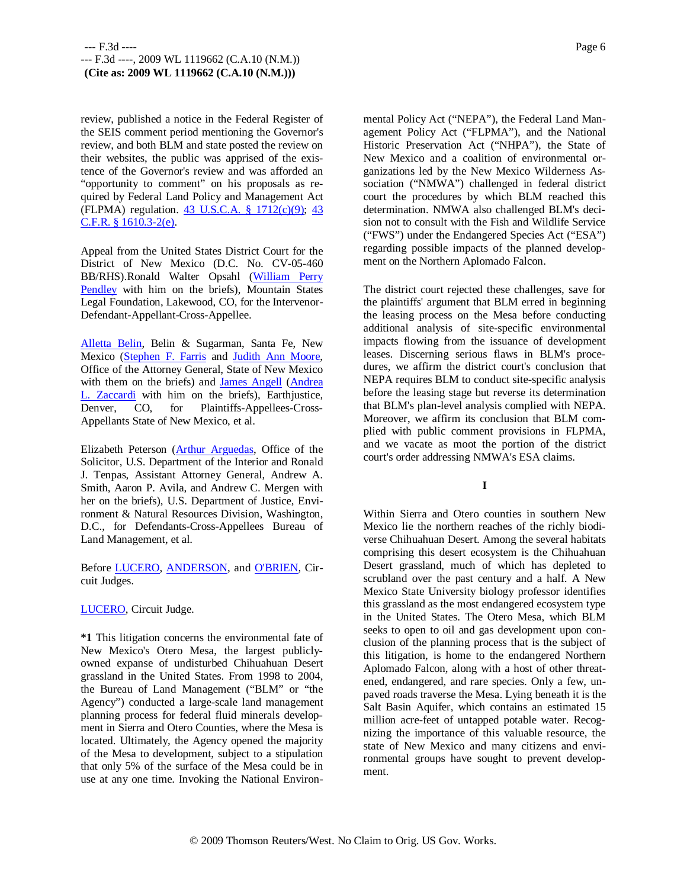review, published a notice in the Federal Register of the SEIS comment period mentioning the Governor's review, and both BLM and state posted the review on their websites, the public was apprised of the existence of the Governor's review and was afforded an "opportunity to comment" on his proposals as required by Federal Land Policy and Management Act (FLPMA) regulation. 43 U.S.C.A. § 1712(c)(9); 43 C.F.R. § 1610.3-2(e).

Appeal from the United States District Court for the District of New Mexico (D.C. No. CV-05-460 BB/RHS).Ronald Walter Opsahl (William Perry Pendley with him on the briefs), Mountain States Legal Foundation, Lakewood, CO, for the Intervenor-Defendant-Appellant-Cross-Appellee.

Alletta Belin, Belin & Sugarman, Santa Fe, New Mexico (Stephen F. Farris and Judith Ann Moore, Office of the Attorney General, State of New Mexico with them on the briefs) and James Angell (Andrea L. Zaccardi with him on the briefs), Earthjustice, Denver, CO, for Plaintiffs-Appellees-Cross-Appellants State of New Mexico, et al.

Elizabeth Peterson (Arthur Arguedas, Office of the Solicitor, U.S. Department of the Interior and Ronald J. Tenpas, Assistant Attorney General, Andrew A. Smith, Aaron P. Avila, and Andrew C. Mergen with her on the briefs), U.S. Department of Justice, Environment & Natural Resources Division, Washington, D.C., for Defendants-Cross-Appellees Bureau of Land Management, et al.

Before LUCERO, ANDERSON, and O'BRIEN, Circuit Judges.

LUCERO, Circuit Judge.

**\*1** This litigation concerns the environmental fate of New Mexico's Otero Mesa, the largest publiclyowned expanse of undisturbed Chihuahuan Desert grassland in the United States. From 1998 to 2004, the Bureau of Land Management ("BLM" or "the Agency") conducted a large-scale land management planning process for federal fluid minerals development in Sierra and Otero Counties, where the Mesa is located. Ultimately, the Agency opened the majority of the Mesa to development, subject to a stipulation that only 5% of the surface of the Mesa could be in use at any one time. Invoking the National Environmental Policy Act ("NEPA"), the Federal Land Management Policy Act ("FLPMA"), and the National Historic Preservation Act ("NHPA"), the State of New Mexico and a coalition of environmental organizations led by the New Mexico Wilderness Association ("NMWA") challenged in federal district court the procedures by which BLM reached this determination. NMWA also challenged BLM's decision not to consult with the Fish and Wildlife Service ("FWS") under the Endangered Species Act ("ESA") regarding possible impacts of the planned development on the Northern Aplomado Falcon.

The district court rejected these challenges, save for the plaintiffs' argument that BLM erred in beginning the leasing process on the Mesa before conducting additional analysis of site-specific environmental impacts flowing from the issuance of development leases. Discerning serious flaws in BLM's procedures, we affirm the district court's conclusion that NEPA requires BLM to conduct site-specific analysis before the leasing stage but reverse its determination that BLM's plan-level analysis complied with NEPA. Moreover, we affirm its conclusion that BLM complied with public comment provisions in FLPMA, and we vacate as moot the portion of the district court's order addressing NMWA's ESA claims.

**I**

Within Sierra and Otero counties in southern New Mexico lie the northern reaches of the richly biodiverse Chihuahuan Desert. Among the several habitats comprising this desert ecosystem is the Chihuahuan Desert grassland, much of which has depleted to scrubland over the past century and a half. A New Mexico State University biology professor identifies this grassland as the most endangered ecosystem type in the United States. The Otero Mesa, which BLM seeks to open to oil and gas development upon conclusion of the planning process that is the subject of this litigation, is home to the endangered Northern Aplomado Falcon, along with a host of other threatened, endangered, and rare species. Only a few, unpaved roads traverse the Mesa. Lying beneath it is the Salt Basin Aquifer, which contains an estimated 15 million acre-feet of untapped potable water. Recognizing the importance of this valuable resource, the state of New Mexico and many citizens and environmental groups have sought to prevent development.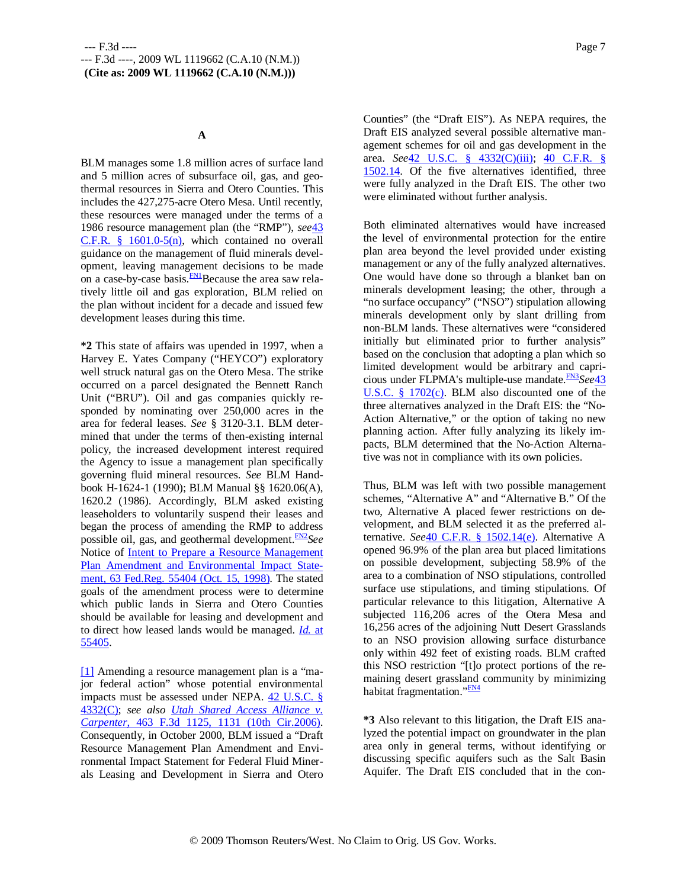### **A**

BLM manages some 1.8 million acres of surface land and 5 million acres of subsurface oil, gas, and geothermal resources in Sierra and Otero Counties. This includes the 427,275-acre Otero Mesa. Until recently, these resources were managed under the terms of a 1986 resource management plan (the "RMP"), *see*43  $C.F.R.$  § 1601.0-5(n), which contained no overall guidance on the management of fluid minerals development, leaving management decisions to be made on a case-by-case basis. $\frac{FN}{TN}$ Because the area saw relatively little oil and gas exploration, BLM relied on the plan without incident for a decade and issued few development leases during this time.

**\*2** This state of affairs was upended in 1997, when a Harvey E. Yates Company ("HEYCO") exploratory well struck natural gas on the Otero Mesa. The strike occurred on a parcel designated the Bennett Ranch Unit ("BRU"). Oil and gas companies quickly responded by nominating over 250,000 acres in the area for federal leases. *See* § 3120-3.1. BLM determined that under the terms of then-existing internal policy, the increased development interest required the Agency to issue a management plan specifically governing fluid mineral resources. *See* BLM Handbook H-1624-1 (1990); BLM Manual §§ 1620.06(A), 1620.2 (1986). Accordingly, BLM asked existing leaseholders to voluntarily suspend their leases and began the process of amending the RMP to address possible oil, gas, and geothermal development.<sup>FN2</sup>See Notice of Intent to Prepare a Resource Management Plan Amendment and Environmental Impact Statement, 63 Fed.Reg. 55404 (Oct. 15, 1998). The stated goals of the amendment process were to determine which public lands in Sierra and Otero Counties should be available for leasing and development and to direct how leased lands would be managed. *Id.* at 55405.

[1] Amending a resource management plan is a "major federal action" whose potential environmental impacts must be assessed under NEPA. 42 U.S.C. § 4332(C); *see also Utah Shared Access Alliance v. Carpenter,* 463 F.3d 1125, 1131 (10th Cir.2006). Consequently, in October 2000, BLM issued a "Draft Resource Management Plan Amendment and Environmental Impact Statement for Federal Fluid Minerals Leasing and Development in Sierra and Otero Counties" (the "Draft EIS"). As NEPA requires, the Draft EIS analyzed several possible alternative management schemes for oil and gas development in the area. *See*42 U.S.C. § 4332(C)(iii); 40 C.F.R. § 1502.14. Of the five alternatives identified, three were fully analyzed in the Draft EIS. The other two were eliminated without further analysis.

Both eliminated alternatives would have increased the level of environmental protection for the entire plan area beyond the level provided under existing management or any of the fully analyzed alternatives. One would have done so through a blanket ban on minerals development leasing; the other, through a "no surface occupancy" ("NSO") stipulation allowing minerals development only by slant drilling from non-BLM lands. These alternatives were "considered initially but eliminated prior to further analysis" based on the conclusion that adopting a plan which so limited development would be arbitrary and capricious under FLPMA's multiple-use mandate.FN3*See*43 U.S.C. § 1702(c). BLM also discounted one of the three alternatives analyzed in the Draft EIS: the "No-Action Alternative," or the option of taking no new planning action. After fully analyzing its likely impacts, BLM determined that the No-Action Alternative was not in compliance with its own policies.

Thus, BLM was left with two possible management schemes, "Alternative A" and "Alternative B." Of the two, Alternative A placed fewer restrictions on development, and BLM selected it as the preferred alternative. *See*40 C.F.R. § 1502.14(e). Alternative A opened 96.9% of the plan area but placed limitations on possible development, subjecting 58.9% of the area to a combination of NSO stipulations, controlled surface use stipulations, and timing stipulations. Of particular relevance to this litigation, Alternative A subjected 116,206 acres of the Otera Mesa and 16,256 acres of the adjoining Nutt Desert Grasslands to an NSO provision allowing surface disturbance only within 492 feet of existing roads. BLM crafted this NSO restriction "[t]o protect portions of the remaining desert grassland community by minimizing habitat fragmentation."<sup>FN4</sup>

**\*3** Also relevant to this litigation, the Draft EIS analyzed the potential impact on groundwater in the plan area only in general terms, without identifying or discussing specific aquifers such as the Salt Basin Aquifer. The Draft EIS concluded that in the con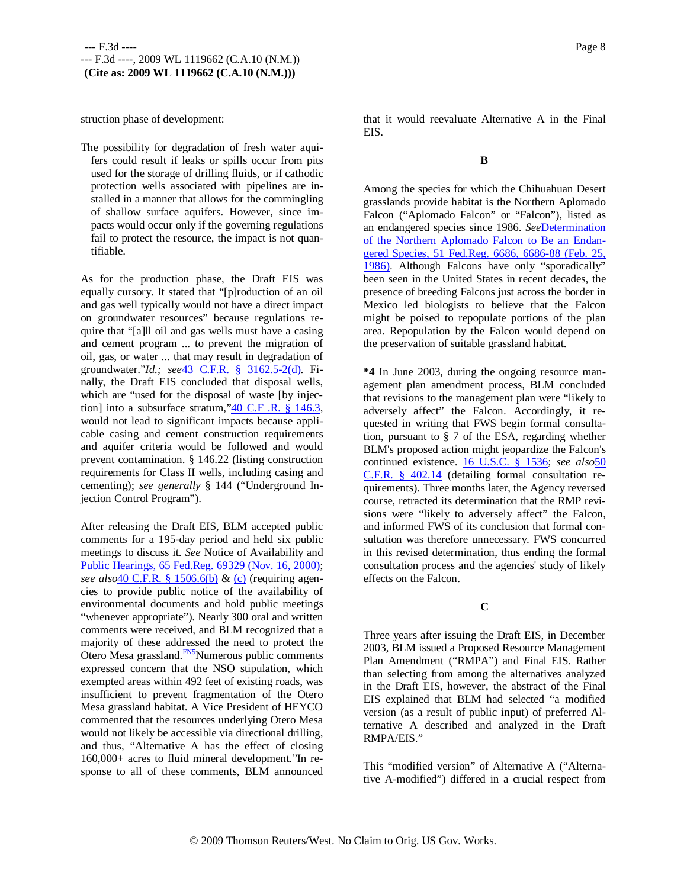struction phase of development:

The possibility for degradation of fresh water aquifers could result if leaks or spills occur from pits used for the storage of drilling fluids, or if cathodic protection wells associated with pipelines are installed in a manner that allows for the commingling of shallow surface aquifers. However, since impacts would occur only if the governing regulations fail to protect the resource, the impact is not quantifiable.

As for the production phase, the Draft EIS was equally cursory. It stated that "[p]roduction of an oil and gas well typically would not have a direct impact on groundwater resources" because regulations require that "[a]ll oil and gas wells must have a casing and cement program ... to prevent the migration of oil, gas, or water ... that may result in degradation of groundwater."*Id.; see*43 C.F.R. § 3162.5-2(d). Finally, the Draft EIS concluded that disposal wells, which are "used for the disposal of waste [by injection] into a subsurface stratum,"40 C.F .R. § 146.3, would not lead to significant impacts because applicable casing and cement construction requirements and aquifer criteria would be followed and would prevent contamination. § 146.22 (listing construction requirements for Class II wells, including casing and cementing); *see generally* § 144 ("Underground Injection Control Program").

After releasing the Draft EIS, BLM accepted public comments for a 195-day period and held six public meetings to discuss it. *See* Notice of Availability and Public Hearings, 65 Fed.Reg. 69329 (Nov. 16, 2000); *see also*40 C.F.R. § 1506.6(b) & (c) (requiring agencies to provide public notice of the availability of environmental documents and hold public meetings "whenever appropriate"). Nearly 300 oral and written comments were received, and BLM recognized that a majority of these addressed the need to protect the Otero Mesa grassland.<sup>FN5</sup>Numerous public comments expressed concern that the NSO stipulation, which exempted areas within 492 feet of existing roads, was insufficient to prevent fragmentation of the Otero Mesa grassland habitat. A Vice President of HEYCO commented that the resources underlying Otero Mesa would not likely be accessible via directional drilling, and thus, "Alternative A has the effect of closing 160,000+ acres to fluid mineral development."In response to all of these comments, BLM announced

that it would reevaluate Alternative A in the Final EIS.

### **B**

Among the species for which the Chihuahuan Desert grasslands provide habitat is the Northern Aplomado Falcon ("Aplomado Falcon" or "Falcon"), listed as an endangered species since 1986. *See*Determination of the Northern Aplomado Falcon to Be an Endangered Species, 51 Fed.Reg. 6686, 6686-88 (Feb. 25, 1986). Although Falcons have only "sporadically" been seen in the United States in recent decades, the presence of breeding Falcons just across the border in Mexico led biologists to believe that the Falcon might be poised to repopulate portions of the plan area. Repopulation by the Falcon would depend on the preservation of suitable grassland habitat.

**\*4** In June 2003, during the ongoing resource management plan amendment process, BLM concluded that revisions to the management plan were "likely to adversely affect" the Falcon. Accordingly, it requested in writing that FWS begin formal consultation, pursuant to § 7 of the ESA, regarding whether BLM's proposed action might jeopardize the Falcon's continued existence. 16 U.S.C. § 1536; *see also*50 C.F.R. § 402.14 (detailing formal consultation requirements). Three months later, the Agency reversed course, retracted its determination that the RMP revisions were "likely to adversely affect" the Falcon, and informed FWS of its conclusion that formal consultation was therefore unnecessary. FWS concurred in this revised determination, thus ending the formal consultation process and the agencies' study of likely effects on the Falcon.

# **C**

Three years after issuing the Draft EIS, in December 2003, BLM issued a Proposed Resource Management Plan Amendment ("RMPA") and Final EIS. Rather than selecting from among the alternatives analyzed in the Draft EIS, however, the abstract of the Final EIS explained that BLM had selected "a modified version (as a result of public input) of preferred Alternative A described and analyzed in the Draft RMPA/EIS."

This "modified version" of Alternative A ("Alternative A-modified") differed in a crucial respect from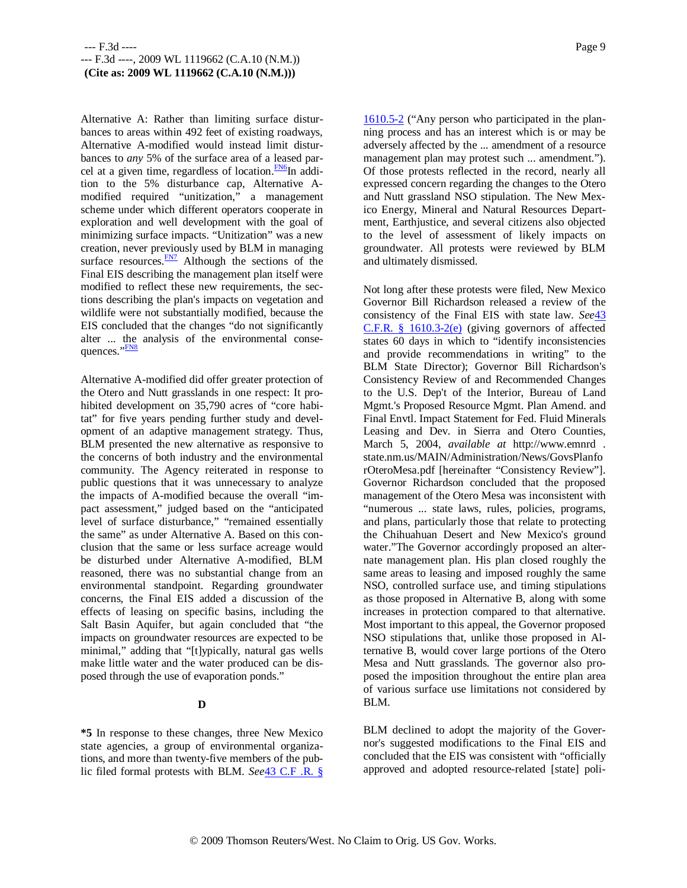Alternative A: Rather than limiting surface disturbances to areas within 492 feet of existing roadways, Alternative A-modified would instead limit disturbances to *any* 5% of the surface area of a leased parcel at a given time, regardless of location.<sup>FN6</sup>In addition to the 5% disturbance cap, Alternative Amodified required "unitization," a management scheme under which different operators cooperate in exploration and well development with the goal of minimizing surface impacts. "Unitization" was a new creation, never previously used by BLM in managing surface resources. **FN7** Although the sections of the Final EIS describing the management plan itself were modified to reflect these new requirements, the sections describing the plan's impacts on vegetation and wildlife were not substantially modified, because the EIS concluded that the changes "do not significantly alter ... the analysis of the environmental consequences."<sup>FN8</sup>

Alternative A-modified did offer greater protection of the Otero and Nutt grasslands in one respect: It prohibited development on 35,790 acres of "core habitat" for five years pending further study and development of an adaptive management strategy. Thus, BLM presented the new alternative as responsive to the concerns of both industry and the environmental community. The Agency reiterated in response to public questions that it was unnecessary to analyze the impacts of A-modified because the overall "impact assessment," judged based on the "anticipated level of surface disturbance," "remained essentially the same" as under Alternative A. Based on this conclusion that the same or less surface acreage would be disturbed under Alternative A-modified, BLM reasoned, there was no substantial change from an environmental standpoint. Regarding groundwater concerns, the Final EIS added a discussion of the effects of leasing on specific basins, including the Salt Basin Aquifer, but again concluded that "the impacts on groundwater resources are expected to be minimal," adding that "[t]ypically, natural gas wells make little water and the water produced can be disposed through the use of evaporation ponds."

# **D**

**\*5** In response to these changes, three New Mexico state agencies, a group of environmental organizations, and more than twenty-five members of the public filed formal protests with BLM. *See*43 C.F .R. § 1610.5-2 ("Any person who participated in the planning process and has an interest which is or may be adversely affected by the ... amendment of a resource management plan may protest such ... amendment."). Of those protests reflected in the record, nearly all expressed concern regarding the changes to the Otero and Nutt grassland NSO stipulation. The New Mexico Energy, Mineral and Natural Resources Department, Earthjustice, and several citizens also objected to the level of assessment of likely impacts on groundwater. All protests were reviewed by BLM and ultimately dismissed.

Not long after these protests were filed, New Mexico Governor Bill Richardson released a review of the consistency of the Final EIS with state law. *See*43 C.F.R. § 1610.3-2(e) (giving governors of affected states 60 days in which to "identify inconsistencies and provide recommendations in writing" to the BLM State Director); Governor Bill Richardson's Consistency Review of and Recommended Changes to the U.S. Dep't of the Interior, Bureau of Land Mgmt.'s Proposed Resource Mgmt. Plan Amend. and Final Envtl. Impact Statement for Fed. Fluid Minerals Leasing and Dev. in Sierra and Otero Counties, March 5, 2004, *available at* http://www.emnrd . state.nm.us/MAIN/Administration/News/GovsPlanfo rOteroMesa.pdf [hereinafter "Consistency Review"]. Governor Richardson concluded that the proposed management of the Otero Mesa was inconsistent with "numerous ... state laws, rules, policies, programs, and plans, particularly those that relate to protecting the Chihuahuan Desert and New Mexico's ground water."The Governor accordingly proposed an alternate management plan. His plan closed roughly the same areas to leasing and imposed roughly the same NSO, controlled surface use, and timing stipulations as those proposed in Alternative B, along with some increases in protection compared to that alternative. Most important to this appeal, the Governor proposed NSO stipulations that, unlike those proposed in Alternative B, would cover large portions of the Otero Mesa and Nutt grasslands. The governor also proposed the imposition throughout the entire plan area of various surface use limitations not considered by BLM.

BLM declined to adopt the majority of the Governor's suggested modifications to the Final EIS and concluded that the EIS was consistent with "officially approved and adopted resource-related [state] poli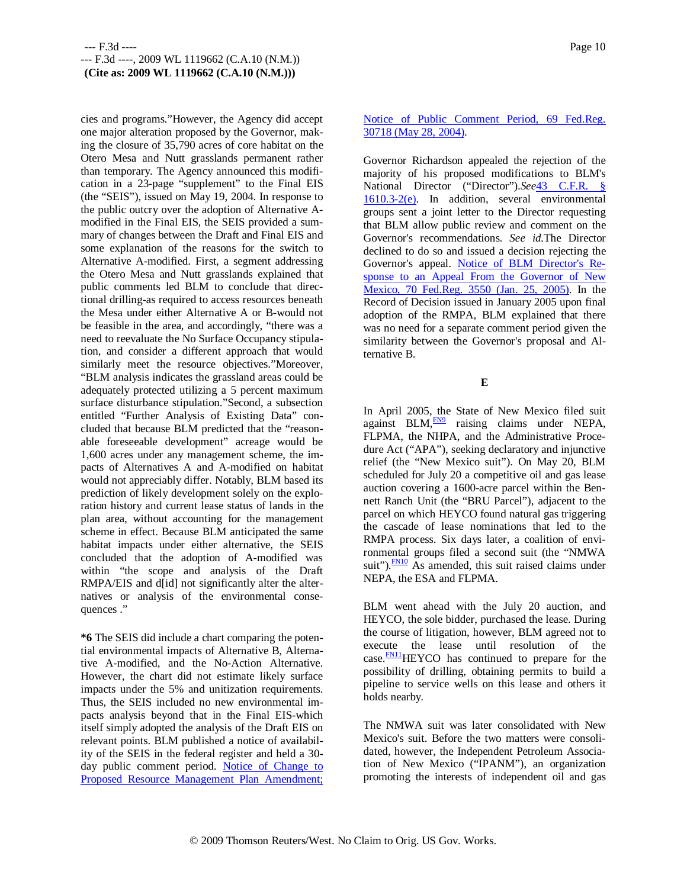cies and programs."However, the Agency did accept one major alteration proposed by the Governor, making the closure of 35,790 acres of core habitat on the Otero Mesa and Nutt grasslands permanent rather than temporary. The Agency announced this modification in a 23-page "supplement" to the Final EIS (the "SEIS"), issued on May 19, 2004. In response to the public outcry over the adoption of Alternative Amodified in the Final EIS, the SEIS provided a summary of changes between the Draft and Final EIS and some explanation of the reasons for the switch to Alternative A-modified. First, a segment addressing the Otero Mesa and Nutt grasslands explained that public comments led BLM to conclude that directional drilling-as required to access resources beneath the Mesa under either Alternative A or B-would not be feasible in the area, and accordingly, "there was a need to reevaluate the No Surface Occupancy stipulation, and consider a different approach that would similarly meet the resource objectives."Moreover, "BLM analysis indicates the grassland areas could be adequately protected utilizing a 5 percent maximum surface disturbance stipulation."Second, a subsection entitled "Further Analysis of Existing Data" concluded that because BLM predicted that the "reasonable foreseeable development" acreage would be 1,600 acres under any management scheme, the impacts of Alternatives A and A-modified on habitat would not appreciably differ. Notably, BLM based its prediction of likely development solely on the exploration history and current lease status of lands in the plan area, without accounting for the management scheme in effect. Because BLM anticipated the same habitat impacts under either alternative, the SEIS concluded that the adoption of A-modified was within "the scope and analysis of the Draft RMPA/EIS and d[id] not significantly alter the alternatives or analysis of the environmental consequences ."

**\*6** The SEIS did include a chart comparing the potential environmental impacts of Alternative B, Alternative A-modified, and the No-Action Alternative. However, the chart did not estimate likely surface impacts under the 5% and unitization requirements. Thus, the SEIS included no new environmental impacts analysis beyond that in the Final EIS-which itself simply adopted the analysis of the Draft EIS on relevant points. BLM published a notice of availability of the SEIS in the federal register and held a 30 day public comment period. Notice of Change to Proposed Resource Management Plan Amendment;

# Notice of Public Comment Period, 69 Fed.Reg. 30718 (May 28, 2004).

Governor Richardson appealed the rejection of the majority of his proposed modifications to BLM's National Director ("Director").*See*43 C.F.R. § 1610.3-2(e). In addition, several environmental groups sent a joint letter to the Director requesting that BLM allow public review and comment on the Governor's recommendations. *See id.*The Director declined to do so and issued a decision rejecting the Governor's appeal. Notice of BLM Director's Response to an Appeal From the Governor of New Mexico, 70 Fed.Reg. 3550 (Jan. 25, 2005). In the Record of Decision issued in January 2005 upon final adoption of the RMPA, BLM explained that there was no need for a separate comment period given the similarity between the Governor's proposal and Alternative B.

**E**

In April 2005, the State of New Mexico filed suit against BLM, $\frac{FN9}{}$  raising claims under NEPA, FLPMA, the NHPA, and the Administrative Procedure Act ("APA"), seeking declaratory and injunctive relief (the "New Mexico suit"). On May 20, BLM scheduled for July 20 a competitive oil and gas lease auction covering a 1600-acre parcel within the Bennett Ranch Unit (the "BRU Parcel"), adjacent to the parcel on which HEYCO found natural gas triggering the cascade of lease nominations that led to the RMPA process. Six days later, a coalition of environmental groups filed a second suit (the "NMWA suit"). $\frac{FN10}{FN}$  As amended, this suit raised claims under NEPA, the ESA and FLPMA.

BLM went ahead with the July 20 auction, and HEYCO, the sole bidder, purchased the lease. During the course of litigation, however, BLM agreed not to execute the lease until resolution of the case.<sup>FN11</sup>HEYCO has continued to prepare for the possibility of drilling, obtaining permits to build a pipeline to service wells on this lease and others it holds nearby.

The NMWA suit was later consolidated with New Mexico's suit. Before the two matters were consolidated, however, the Independent Petroleum Association of New Mexico ("IPANM"), an organization promoting the interests of independent oil and gas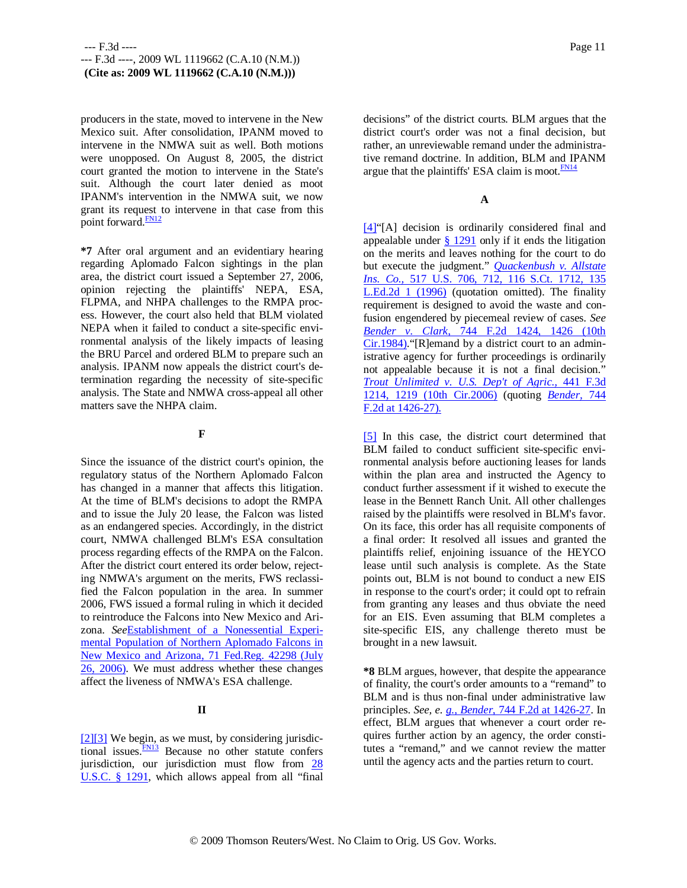producers in the state, moved to intervene in the New Mexico suit. After consolidation, IPANM moved to intervene in the NMWA suit as well. Both motions were unopposed. On August 8, 2005, the district court granted the motion to intervene in the State's suit. Although the court later denied as moot IPANM's intervention in the NMWA suit, we now grant its request to intervene in that case from this point forward.<sup>FN12</sup>

**\*7** After oral argument and an evidentiary hearing regarding Aplomado Falcon sightings in the plan area, the district court issued a September 27, 2006, opinion rejecting the plaintiffs' NEPA, ESA, FLPMA, and NHPA challenges to the RMPA process. However, the court also held that BLM violated NEPA when it failed to conduct a site-specific environmental analysis of the likely impacts of leasing the BRU Parcel and ordered BLM to prepare such an analysis. IPANM now appeals the district court's determination regarding the necessity of site-specific analysis. The State and NMWA cross-appeal all other matters save the NHPA claim.

### **F**

Since the issuance of the district court's opinion, the regulatory status of the Northern Aplomado Falcon has changed in a manner that affects this litigation. At the time of BLM's decisions to adopt the RMPA and to issue the July 20 lease, the Falcon was listed as an endangered species. Accordingly, in the district court, NMWA challenged BLM's ESA consultation process regarding effects of the RMPA on the Falcon. After the district court entered its order below, rejecting NMWA's argument on the merits, FWS reclassified the Falcon population in the area. In summer 2006, FWS issued a formal ruling in which it decided to reintroduce the Falcons into New Mexico and Arizona. *See*Establishment of a Nonessential Experimental Population of Northern Aplomado Falcons in New Mexico and Arizona, 71 Fed.Reg. 42298 (July 26, 2006). We must address whether these changes affect the liveness of NMWA's ESA challenge.

# **II**

[2][3] We begin, as we must, by considering jurisdictional issues.<sup>FN13</sup> Because no other statute confers jurisdiction, our jurisdiction must flow from 28 U.S.C. § 1291, which allows appeal from all "final

decisions" of the district courts. BLM argues that the district court's order was not a final decision, but rather, an unreviewable remand under the administrative remand doctrine. In addition, BLM and IPANM argue that the plaintiffs' ESA claim is moot.<sup>FN14</sup>

# **A**

[4]"[A] decision is ordinarily considered final and appealable under  $§$  1291 only if it ends the litigation on the merits and leaves nothing for the court to do but execute the judgment." *Quackenbush v. Allstate Ins. Co.,* 517 U.S. 706, 712, 116 S.Ct. 1712, 135 L.Ed.2d 1 (1996) (quotation omitted). The finality requirement is designed to avoid the waste and confusion engendered by piecemeal review of cases. *See Bender v. Clark,* 744 F.2d 1424, 1426 (10th Cir.1984). "[R]emand by a district court to an administrative agency for further proceedings is ordinarily not appealable because it is not a final decision." *Trout Unlimited v. U.S. Dep't of Agric.,* 441 F.3d 1214, 1219 (10th Cir.2006) (quoting *Bender,* 744 F.2d at 1426-27).

[5] In this case, the district court determined that BLM failed to conduct sufficient site-specific environmental analysis before auctioning leases for lands within the plan area and instructed the Agency to conduct further assessment if it wished to execute the lease in the Bennett Ranch Unit. All other challenges raised by the plaintiffs were resolved in BLM's favor. On its face, this order has all requisite components of a final order: It resolved all issues and granted the plaintiffs relief, enjoining issuance of the HEYCO lease until such analysis is complete. As the State points out, BLM is not bound to conduct a new EIS in response to the court's order; it could opt to refrain from granting any leases and thus obviate the need for an EIS. Even assuming that BLM completes a site-specific EIS, any challenge thereto must be brought in a new lawsuit.

**\*8** BLM argues, however, that despite the appearance of finality, the court's order amounts to a "remand" to BLM and is thus non-final under administrative law principles. *See, e. g., Bender,* 744 F.2d at 1426-27. In effect, BLM argues that whenever a court order requires further action by an agency, the order constitutes a "remand," and we cannot review the matter until the agency acts and the parties return to court.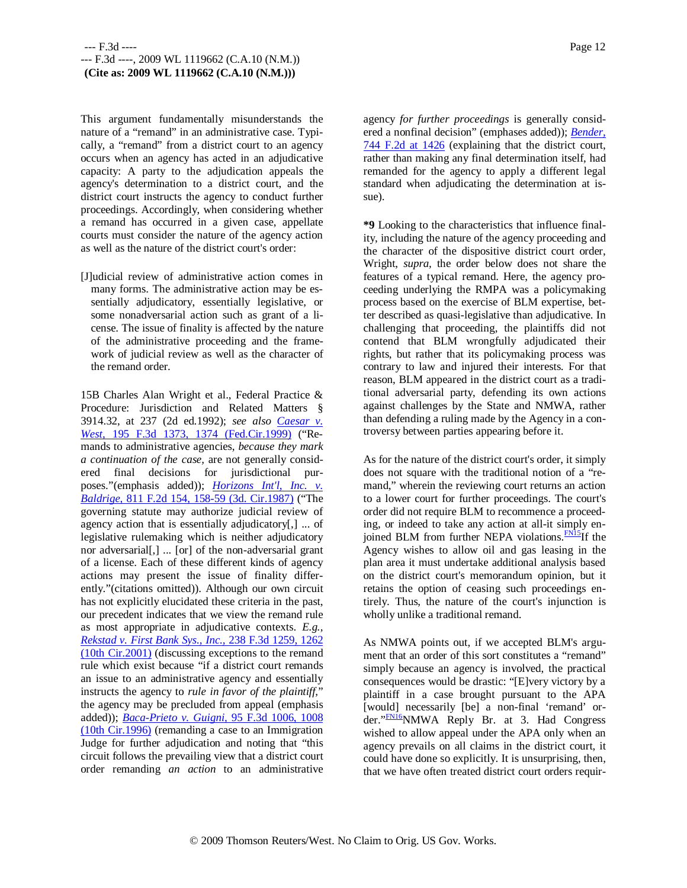This argument fundamentally misunderstands the nature of a "remand" in an administrative case. Typically, a "remand" from a district court to an agency occurs when an agency has acted in an adjudicative capacity: A party to the adjudication appeals the agency's determination to a district court, and the district court instructs the agency to conduct further proceedings. Accordingly, when considering whether a remand has occurred in a given case, appellate courts must consider the nature of the agency action as well as the nature of the district court's order:

[J]udicial review of administrative action comes in many forms. The administrative action may be essentially adjudicatory, essentially legislative, or some nonadversarial action such as grant of a license. The issue of finality is affected by the nature of the administrative proceeding and the framework of judicial review as well as the character of the remand order.

15B Charles Alan Wright et al., Federal Practice & Procedure: Jurisdiction and Related Matters § 3914.32, at 237 (2d ed.1992); *see also Caesar v. West,* 195 F.3d 1373, 1374 (Fed.Cir.1999) ("Remands to administrative agencies, *because they mark a continuation of the case,* are not generally considered final decisions for jurisdictional purposes."(emphasis added)); *Horizons Int'l, Inc. v. Baldrige,* 811 F.2d 154, 158-59 (3d. Cir.1987) ("The governing statute may authorize judicial review of agency action that is essentially adjudicatory[,] ... of legislative rulemaking which is neither adjudicatory nor adversarial[,] ... [or] of the non-adversarial grant of a license. Each of these different kinds of agency actions may present the issue of finality differently."(citations omitted)). Although our own circuit has not explicitly elucidated these criteria in the past, our precedent indicates that we view the remand rule as most appropriate in adjudicative contexts. *E.g., Rekstad v. First Bank Sys., Inc.,* 238 F.3d 1259, 1262 (10th Cir.2001) (discussing exceptions to the remand rule which exist because "if a district court remands an issue to an administrative agency and essentially instructs the agency to *rule in favor of the plaintiff,*" the agency may be precluded from appeal (emphasis added)); *Baca-Prieto v. Guigni,* 95 F.3d 1006, 1008 (10th Cir.1996) (remanding a case to an Immigration Judge for further adjudication and noting that "this circuit follows the prevailing view that a district court order remanding *an action* to an administrative

agency *for further proceedings* is generally considered a nonfinal decision" (emphases added)); *Bender,* 744 F.2d at 1426 (explaining that the district court, rather than making any final determination itself, had remanded for the agency to apply a different legal standard when adjudicating the determination at issue).

**\*9** Looking to the characteristics that influence finality, including the nature of the agency proceeding and the character of the dispositive district court order, Wright, *supra,* the order below does not share the features of a typical remand. Here, the agency proceeding underlying the RMPA was a policymaking process based on the exercise of BLM expertise, better described as quasi-legislative than adjudicative. In challenging that proceeding, the plaintiffs did not contend that BLM wrongfully adjudicated their rights, but rather that its policymaking process was contrary to law and injured their interests. For that reason, BLM appeared in the district court as a traditional adversarial party, defending its own actions against challenges by the State and NMWA, rather than defending a ruling made by the Agency in a controversy between parties appearing before it.

As for the nature of the district court's order, it simply does not square with the traditional notion of a "remand," wherein the reviewing court returns an action to a lower court for further proceedings. The court's order did not require BLM to recommence a proceeding, or indeed to take any action at all-it simply enjoined BLM from further NEPA violations.<sup>FN15</sup>If the Agency wishes to allow oil and gas leasing in the plan area it must undertake additional analysis based on the district court's memorandum opinion, but it retains the option of ceasing such proceedings entirely. Thus, the nature of the court's injunction is wholly unlike a traditional remand.

As NMWA points out, if we accepted BLM's argument that an order of this sort constitutes a "remand" simply because an agency is involved, the practical consequences would be drastic: "[E]very victory by a plaintiff in a case brought pursuant to the APA [would] necessarily [be] a non-final 'remand' order."<sup>FN16</sup>NMWA Reply Br. at 3. Had Congress wished to allow appeal under the APA only when an agency prevails on all claims in the district court, it could have done so explicitly. It is unsurprising, then, that we have often treated district court orders requir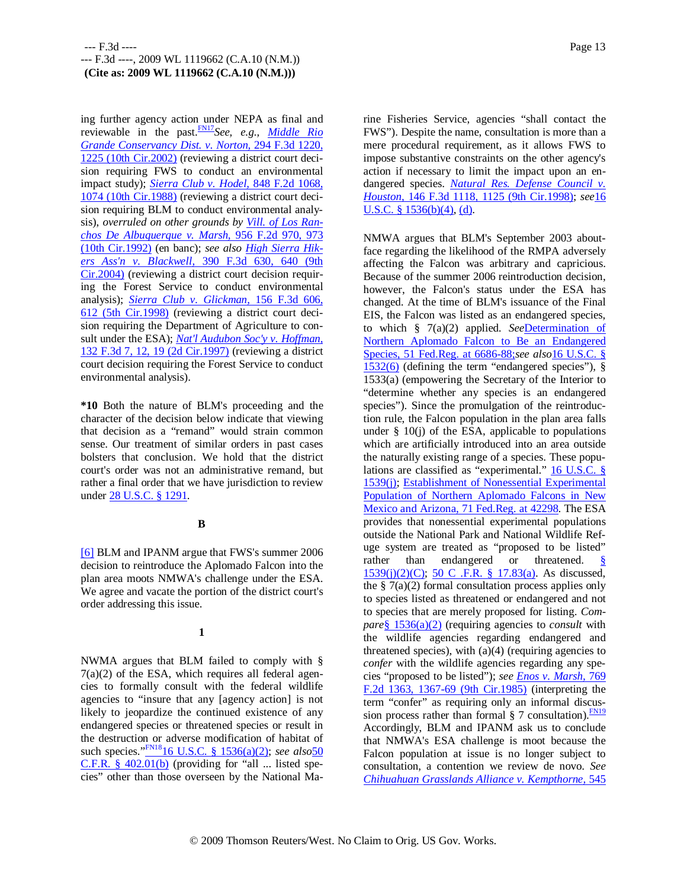ing further agency action under NEPA as final and reviewable in the past.FN17*See, e.g., Middle Rio Grande Conservancy Dist. v. Norton,* 294 F.3d 1220, 1225 (10th Cir.2002) (reviewing a district court decision requiring FWS to conduct an environmental impact study); *Sierra Club v. Hodel,* 848 F.2d 1068, 1074 (10th Cir.1988) (reviewing a district court decision requiring BLM to conduct environmental analysis), *overruled on other grounds by Vill. of Los Ranchos De Albuquerque v. Marsh,* 956 F.2d 970, 973 (10th Cir.1992) (en banc); *see also High Sierra Hikers Ass'n v. Blackwell,* 390 F.3d 630, 640 (9th Cir.2004) (reviewing a district court decision requiring the Forest Service to conduct environmental analysis); *Sierra Club v. Glickman,* 156 F.3d 606, 612 (5th Cir.1998) (reviewing a district court decision requiring the Department of Agriculture to consult under the ESA); *Nat'l Audubon Soc'y v. Hoffman,* 132 F.3d 7, 12, 19 (2d Cir.1997) (reviewing a district court decision requiring the Forest Service to conduct environmental analysis).

**\*10** Both the nature of BLM's proceeding and the character of the decision below indicate that viewing that decision as a "remand" would strain common sense. Our treatment of similar orders in past cases bolsters that conclusion. We hold that the district court's order was not an administrative remand, but rather a final order that we have jurisdiction to review under 28 U.S.C. § 1291.

# **B**

[6] BLM and IPANM argue that FWS's summer 2006 decision to reintroduce the Aplomado Falcon into the plan area moots NMWA's challenge under the ESA. We agree and vacate the portion of the district court's order addressing this issue.

# **1**

NWMA argues that BLM failed to comply with §  $7(a)(2)$  of the ESA, which requires all federal agencies to formally consult with the federal wildlife agencies to "insure that any [agency action] is not likely to jeopardize the continued existence of any endangered species or threatened species or result in the destruction or adverse modification of habitat of such species."FN1816 U.S.C. § 1536(a)(2); *see also*50  $C.F.R. \$ § 402.01(b) (providing for "all ... listed species" other than those overseen by the National Marine Fisheries Service, agencies "shall contact the FWS"). Despite the name, consultation is more than a mere procedural requirement, as it allows FWS to impose substantive constraints on the other agency's action if necessary to limit the impact upon an endangered species. *Natural Res. Defense Council v. Houston,* 146 F.3d 1118, 1125 (9th Cir.1998); *see*16 U.S.C. § 1536(b)(4), (d).

NMWA argues that BLM's September 2003 aboutface regarding the likelihood of the RMPA adversely affecting the Falcon was arbitrary and capricious. Because of the summer 2006 reintroduction decision, however, the Falcon's status under the ESA has changed. At the time of BLM's issuance of the Final EIS, the Falcon was listed as an endangered species, to which § 7(a)(2) applied. *See*Determination of Northern Aplomado Falcon to Be an Endangered Species, 51 Fed.Reg. at 6686-88;*see also*16 U.S.C. § 1532(6) (defining the term "endangered species"), § 1533(a) (empowering the Secretary of the Interior to "determine whether any species is an endangered species"). Since the promulgation of the reintroduction rule, the Falcon population in the plan area falls under  $\S$  10(j) of the ESA, applicable to populations which are artificially introduced into an area outside the naturally existing range of a species. These populations are classified as "experimental." 16 U.S.C. § 1539(j); Establishment of Nonessential Experimental Population of Northern Aplomado Falcons in New Mexico and Arizona, 71 Fed.Reg. at 42298. The ESA provides that nonessential experimental populations outside the National Park and National Wildlife Refuge system are treated as "proposed to be listed" rather than endangered or threatened. 1539(j)(2)(C); 50 C .F.R. § 17.83(a). As discussed, the  $\S$  7(a)(2) formal consultation process applies only to species listed as threatened or endangered and not to species that are merely proposed for listing. *Compare*§ 1536(a)(2) (requiring agencies to *consult* with the wildlife agencies regarding endangered and threatened species), with  $(a)(4)$  (requiring agencies to *confer* with the wildlife agencies regarding any species "proposed to be listed"); *see Enos v. Marsh,* 769 F.2d 1363, 1367-69 (9th Cir.1985) (interpreting the term "confer" as requiring only an informal discussion process rather than formal § 7 consultation). $\frac{FN19}{FN19}$ Accordingly, BLM and IPANM ask us to conclude that NMWA's ESA challenge is moot because the Falcon population at issue is no longer subject to consultation, a contention we review de novo. *See Chihuahuan Grasslands Alliance v. Kempthorne,* 545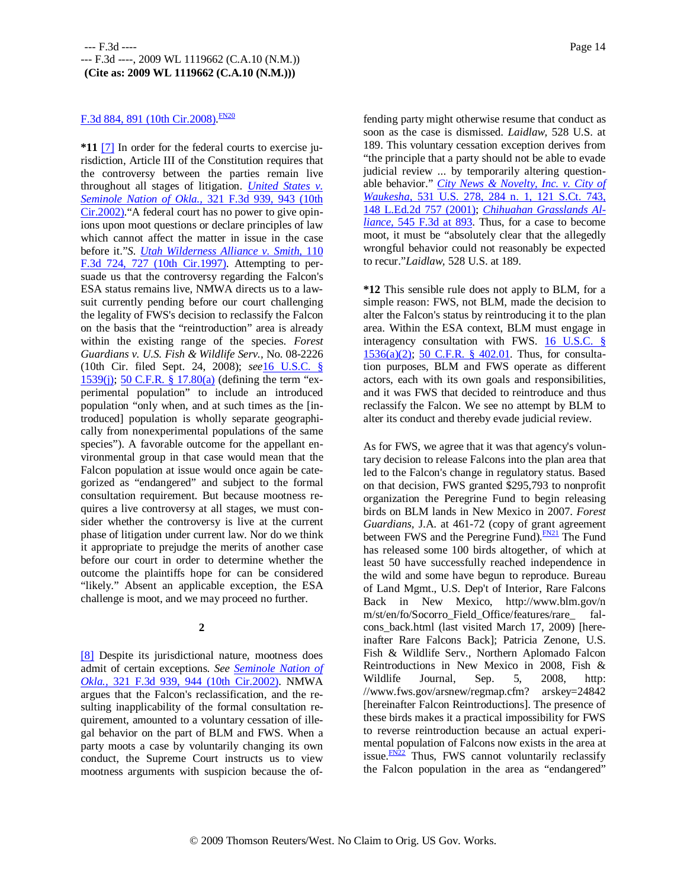# F.3d 884, 891 (10th Cir.2008). EN20

**\*11** [7] In order for the federal courts to exercise jurisdiction, Article III of the Constitution requires that the controversy between the parties remain live throughout all stages of litigation. *United States v. Seminole Nation of Okla.,* 321 F.3d 939, 943 (10th Cir.2002)."A federal court has no power to give opinions upon moot questions or declare principles of law which cannot affect the matter in issue in the case before it."*S. Utah Wilderness Alliance v. Smith,* 110 F.3d 724, 727 (10th Cir.1997). Attempting to persuade us that the controversy regarding the Falcon's ESA status remains live, NMWA directs us to a lawsuit currently pending before our court challenging the legality of FWS's decision to reclassify the Falcon on the basis that the "reintroduction" area is already within the existing range of the species. *Forest Guardians v. U.S. Fish & Wildlife Serv.,* No. 08-2226 (10th Cir. filed Sept. 24, 2008); *see*16 U.S.C. § 1539(j); 50 C.F.R. § 17.80(a) (defining the term "experimental population" to include an introduced population "only when, and at such times as the [introduced] population is wholly separate geographically from nonexperimental populations of the same species"). A favorable outcome for the appellant environmental group in that case would mean that the Falcon population at issue would once again be categorized as "endangered" and subject to the formal consultation requirement. But because mootness requires a live controversy at all stages, we must consider whether the controversy is live at the current phase of litigation under current law. Nor do we think it appropriate to prejudge the merits of another case before our court in order to determine whether the outcome the plaintiffs hope for can be considered "likely." Absent an applicable exception, the ESA challenge is moot, and we may proceed no further.

**2**

[8] Despite its jurisdictional nature, mootness does admit of certain exceptions. *See Seminole Nation of Okla.,* 321 F.3d 939, 944 (10th Cir.2002). NMWA argues that the Falcon's reclassification, and the resulting inapplicability of the formal consultation requirement, amounted to a voluntary cessation of illegal behavior on the part of BLM and FWS. When a party moots a case by voluntarily changing its own conduct, the Supreme Court instructs us to view mootness arguments with suspicion because the offending party might otherwise resume that conduct as soon as the case is dismissed. *Laidlaw,* 528 U.S. at 189. This voluntary cessation exception derives from "the principle that a party should not be able to evade judicial review ... by temporarily altering questionable behavior." *City News & Novelty, Inc. v. City of Waukesha,* 531 U.S. 278, 284 n. 1, 121 S.Ct. 743, 148 L.Ed.2d 757 (2001); *Chihuahan Grasslands Alliance,* 545 F.3d at 893. Thus, for a case to become moot, it must be "absolutely clear that the allegedly wrongful behavior could not reasonably be expected to recur."*Laidlaw,* 528 U.S. at 189.

**\*12** This sensible rule does not apply to BLM, for a simple reason: FWS, not BLM, made the decision to alter the Falcon's status by reintroducing it to the plan area. Within the ESA context, BLM must engage in interagency consultation with FWS. 16 U.S.C. § 1536(a)(2); 50 C.F.R. § 402.01. Thus, for consultation purposes, BLM and FWS operate as different actors, each with its own goals and responsibilities, and it was FWS that decided to reintroduce and thus reclassify the Falcon. We see no attempt by BLM to alter its conduct and thereby evade judicial review.

As for FWS, we agree that it was that agency's voluntary decision to release Falcons into the plan area that led to the Falcon's change in regulatory status. Based on that decision, FWS granted \$295,793 to nonprofit organization the Peregrine Fund to begin releasing birds on BLM lands in New Mexico in 2007. *Forest Guardians,* J.A. at 461-72 (copy of grant agreement between FWS and the Peregrine Fund).<sup>FN21</sup> The Fund has released some 100 birds altogether, of which at least 50 have successfully reached independence in the wild and some have begun to reproduce. Bureau of Land Mgmt., U.S. Dep't of Interior, Rare Falcons Back in New Mexico, http://www.blm.gov/n m/st/en/fo/Socorro\_Field\_Office/features/rare\_ falcons\_back.html (last visited March 17, 2009) [hereinafter Rare Falcons Back]; Patricia Zenone, U.S. Fish & Wildlife Serv., Northern Aplomado Falcon Reintroductions in New Mexico in 2008, Fish & Wildlife Journal, Sep. 5, 2008, http: //www.fws.gov/arsnew/regmap.cfm? arskey=24842 [hereinafter Falcon Reintroductions]. The presence of these birds makes it a practical impossibility for FWS to reverse reintroduction because an actual experimental population of Falcons now exists in the area at issue. $F_{N22}$  Thus, FWS cannot voluntarily reclassify the Falcon population in the area as "endangered"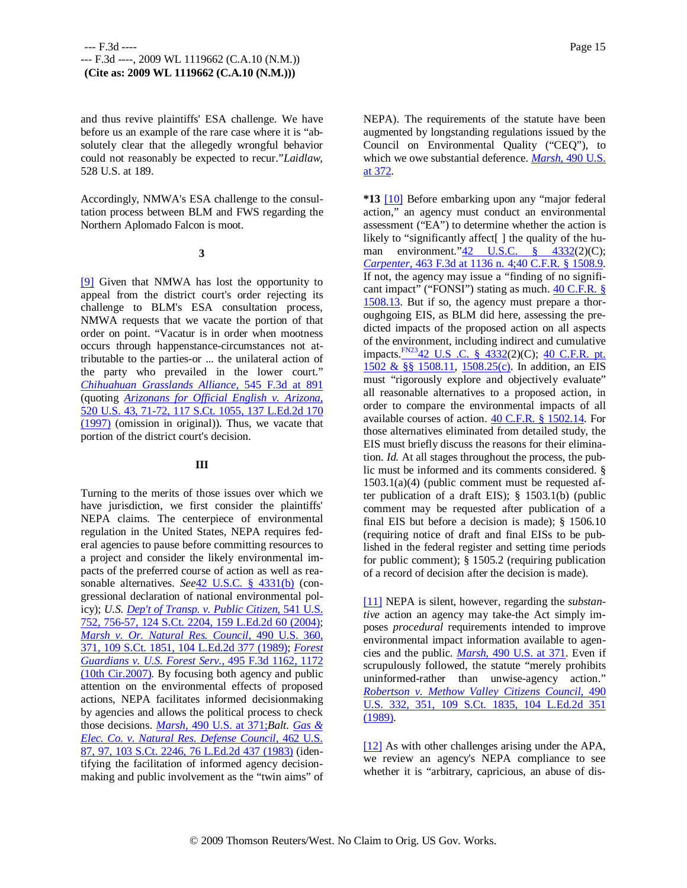and thus revive plaintiffs' ESA challenge. We have before us an example of the rare case where it is "absolutely clear that the allegedly wrongful behavior could not reasonably be expected to recur."*Laidlaw,* 528 U.S. at 189.

Accordingly, NMWA's ESA challenge to the consultation process between BLM and FWS regarding the Northern Aplomado Falcon is moot.

**3**

[9] Given that NMWA has lost the opportunity to appeal from the district court's order rejecting its challenge to BLM's ESA consultation process, NMWA requests that we vacate the portion of that order on point. "Vacatur is in order when mootness occurs through happenstance-circumstances not attributable to the parties-or ... the unilateral action of the party who prevailed in the lower court." *Chihuahuan Grasslands Alliance,* 545 F.3d at 891 (quoting *Arizonans for Official English v. Arizona,* 520 U.S. 43, 71-72, 117 S.Ct. 1055, 137 L.Ed.2d 170 (1997) (omission in original)). Thus, we vacate that portion of the district court's decision.

### **III**

Turning to the merits of those issues over which we have jurisdiction, we first consider the plaintiffs' NEPA claims. The centerpiece of environmental regulation in the United States, NEPA requires federal agencies to pause before committing resources to a project and consider the likely environmental impacts of the preferred course of action as well as reasonable alternatives. *See*42 U.S.C. § 4331(b) (congressional declaration of national environmental policy); *U.S. Dep't of Transp. v. Public Citizen,* 541 U.S. 752, 756-57, 124 S.Ct. 2204, 159 L.Ed.2d 60 (2004); *Marsh v. Or. Natural Res. Council,* 490 U.S. 360, 371, 109 S.Ct. 1851, 104 L.Ed.2d 377 (1989); *Forest Guardians v. U.S. Forest Serv.,* 495 F.3d 1162, 1172 (10th Cir.2007). By focusing both agency and public attention on the environmental effects of proposed actions, NEPA facilitates informed decisionmaking by agencies and allows the political process to check those decisions. *Marsh,* 490 U.S. at 371;*Balt. Gas & Elec. Co. v. Natural Res. Defense Council,* 462 U.S. 87, 97, 103 S.Ct. 2246, 76 L.Ed.2d 437 (1983) (identifying the facilitation of informed agency decisionmaking and public involvement as the "twin aims" of NEPA). The requirements of the statute have been augmented by longstanding regulations issued by the Council on Environmental Quality ("CEQ"), to which we owe substantial deference. *Marsh,* 490 U.S. at 372.

**\*13** [10] Before embarking upon any "major federal action," an agency must conduct an environmental assessment ("EA") to determine whether the action is likely to "significantly affect<sup>[]</sup> the quality of the human environment."42 U.S.C. § 4332(2)(C); *Carpenter,* 463 F.3d at 1136 n. 4;40 C.F.R. § 1508.9. If not, the agency may issue a "finding of no significant impact" ("FONSI") stating as much. 40 C.F.R. § 1508.13. But if so, the agency must prepare a thoroughgoing EIS, as BLM did here, assessing the predicted impacts of the proposed action on all aspects of the environment, including indirect and cumulative impacts.<sup>FN23</sup>42 U.S .C. § 4332(2)(C); 40 C.F.R. pt. 1502 & §§ 1508.11, 1508.25(c). In addition, an EIS must "rigorously explore and objectively evaluate" all reasonable alternatives to a proposed action, in order to compare the environmental impacts of all available courses of action. 40 C.F.R. § 1502.14. For those alternatives eliminated from detailed study, the EIS must briefly discuss the reasons for their elimination. *Id.* At all stages throughout the process, the public must be informed and its comments considered. § 1503.1(a)(4) (public comment must be requested after publication of a draft EIS); § 1503.1(b) (public comment may be requested after publication of a final EIS but before a decision is made); § 1506.10 (requiring notice of draft and final EISs to be published in the federal register and setting time periods for public comment); § 1505.2 (requiring publication of a record of decision after the decision is made).

[11] NEPA is silent, however, regarding the *substantive* action an agency may take-the Act simply imposes *procedural* requirements intended to improve environmental impact information available to agencies and the public. *Marsh,* 490 U.S. at 371. Even if scrupulously followed, the statute "merely prohibits uninformed-rather than unwise-agency action." *Robertson v. Methow Valley Citizens Council,* 490 U.S. 332, 351, 109 S.Ct. 1835, 104 L.Ed.2d 351 (1989).

[12] As with other challenges arising under the APA, we review an agency's NEPA compliance to see whether it is "arbitrary, capricious, an abuse of dis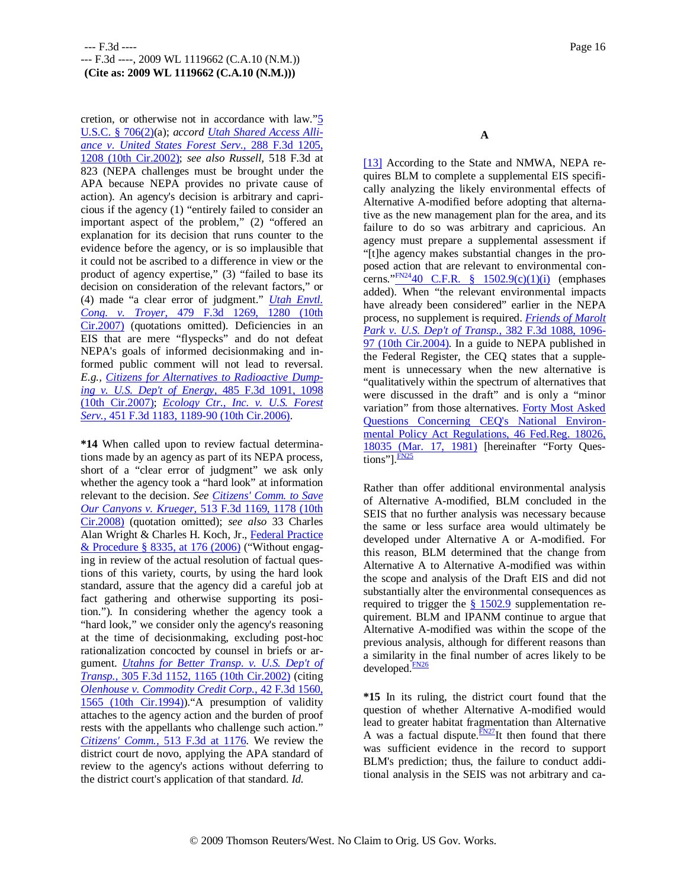cretion, or otherwise not in accordance with law."5 U.S.C. § 706(2)(a); *accord Utah Shared Access Alliance v. United States Forest Serv.,* 288 F.3d 1205, 1208 (10th Cir.2002); *see also Russell,* 518 F.3d at 823 (NEPA challenges must be brought under the APA because NEPA provides no private cause of action). An agency's decision is arbitrary and capricious if the agency (1) "entirely failed to consider an important aspect of the problem," (2) "offered an explanation for its decision that runs counter to the evidence before the agency, or is so implausible that it could not be ascribed to a difference in view or the product of agency expertise," (3) "failed to base its decision on consideration of the relevant factors," or (4) made "a clear error of judgment." *Utah Envtl. Cong. v. Troyer,* 479 F.3d 1269, 1280 (10th Cir.2007) (quotations omitted). Deficiencies in an EIS that are mere "flyspecks" and do not defeat NEPA's goals of informed decisionmaking and informed public comment will not lead to reversal. *E.g., Citizens for Alternatives to Radioactive Dumping v. U.S. Dep't of Energy,* 485 F.3d 1091, 1098 (10th Cir.2007); *Ecology Ctr., Inc. v. U.S. Forest Serv.,* 451 F.3d 1183, 1189-90 (10th Cir.2006).

**\*14** When called upon to review factual determinations made by an agency as part of its NEPA process, short of a "clear error of judgment" we ask only whether the agency took a "hard look" at information relevant to the decision. *See Citizens' Comm. to Save Our Canyons v. Krueger,* 513 F.3d 1169, 1178 (10th Cir.2008) (quotation omitted); *see also* 33 Charles Alan Wright & Charles H. Koch, Jr., Federal Practice & Procedure § 8335, at 176 (2006) ("Without engaging in review of the actual resolution of factual questions of this variety, courts, by using the hard look standard, assure that the agency did a careful job at fact gathering and otherwise supporting its position."). In considering whether the agency took a "hard look," we consider only the agency's reasoning at the time of decisionmaking, excluding post-hoc rationalization concocted by counsel in briefs or argument. *Utahns for Better Transp. v. U.S. Dep't of Transp.,* 305 F.3d 1152, 1165 (10th Cir.2002) (citing *Olenhouse v. Commodity Credit Corp.,* 42 F.3d 1560, 1565 (10th Cir.1994))."A presumption of validity attaches to the agency action and the burden of proof rests with the appellants who challenge such action." *Citizens' Comm.,* 513 F.3d at 1176. We review the district court de novo, applying the APA standard of review to the agency's actions without deferring to the district court's application of that standard. *Id.*

**A**

[13] According to the State and NMWA, NEPA requires BLM to complete a supplemental EIS specifically analyzing the likely environmental effects of Alternative A-modified before adopting that alternative as the new management plan for the area, and its failure to do so was arbitrary and capricious. An agency must prepare a supplemental assessment if "[t]he agency makes substantial changes in the proposed action that are relevant to environmental concerns." $\frac{N_{\text{FN24}}}{N_{\text{FN24}}+40}$  C.F.R. § 1502.9(c)(1)(i) (emphases added). When "the relevant environmental impacts have already been considered" earlier in the NEPA process, no supplement is required. *Friends of Marolt Park v. U.S. Dep't of Transp.,* 382 F.3d 1088, 1096- 97 (10th Cir.2004). In a guide to NEPA published in the Federal Register, the CEQ states that a supplement is unnecessary when the new alternative is "qualitatively within the spectrum of alternatives that were discussed in the draft" and is only a "minor variation" from those alternatives. Forty Most Asked Questions Concerning CEQ's National Environmental Policy Act Regulations, 46 Fed.Reg. 18026, 18035 (Mar. 17, 1981) [hereinafter "Forty Questions"]. $\frac{FN25}{FN25}$ 

Rather than offer additional environmental analysis of Alternative A-modified, BLM concluded in the SEIS that no further analysis was necessary because the same or less surface area would ultimately be developed under Alternative A or A-modified. For this reason, BLM determined that the change from Alternative A to Alternative A-modified was within the scope and analysis of the Draft EIS and did not substantially alter the environmental consequences as required to trigger the  $§ 1502.9$  supplementation requirement. BLM and IPANM continue to argue that Alternative A-modified was within the scope of the previous analysis, although for different reasons than a similarity in the final number of acres likely to be developed.FN26

**\*15** In its ruling, the district court found that the question of whether Alternative A-modified would lead to greater habitat fragmentation than Alternative A was a factual dispute.  $FN27$ It then found that there was sufficient evidence in the record to support BLM's prediction; thus, the failure to conduct additional analysis in the SEIS was not arbitrary and ca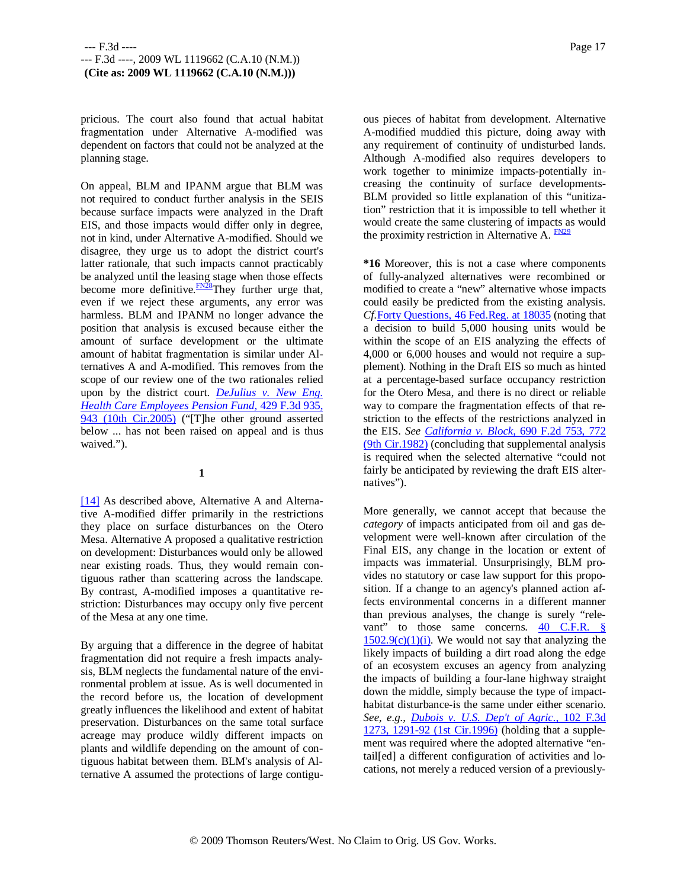pricious. The court also found that actual habitat fragmentation under Alternative A-modified was dependent on factors that could not be analyzed at the planning stage.

On appeal, BLM and IPANM argue that BLM was not required to conduct further analysis in the SEIS because surface impacts were analyzed in the Draft EIS, and those impacts would differ only in degree, not in kind, under Alternative A-modified. Should we disagree, they urge us to adopt the district court's latter rationale, that such impacts cannot practicably be analyzed until the leasing stage when those effects become more definitive.<sup>FN28</sup>They further urge that, even if we reject these arguments, any error was harmless. BLM and IPANM no longer advance the position that analysis is excused because either the amount of surface development or the ultimate amount of habitat fragmentation is similar under Alternatives A and A-modified. This removes from the scope of our review one of the two rationales relied upon by the district court. *DeJulius v. New Eng. Health Care Employees Pension Fund,* 429 F.3d 935, 943 (10th Cir.2005) ("[T]he other ground asserted below ... has not been raised on appeal and is thus waived.").

### **1**

[14] As described above, Alternative A and Alternative A-modified differ primarily in the restrictions they place on surface disturbances on the Otero Mesa. Alternative A proposed a qualitative restriction on development: Disturbances would only be allowed near existing roads. Thus, they would remain contiguous rather than scattering across the landscape. By contrast, A-modified imposes a quantitative restriction: Disturbances may occupy only five percent of the Mesa at any one time.

By arguing that a difference in the degree of habitat fragmentation did not require a fresh impacts analysis, BLM neglects the fundamental nature of the environmental problem at issue. As is well documented in the record before us, the location of development greatly influences the likelihood and extent of habitat preservation. Disturbances on the same total surface acreage may produce wildly different impacts on plants and wildlife depending on the amount of contiguous habitat between them. BLM's analysis of Alternative A assumed the protections of large contiguous pieces of habitat from development. Alternative A-modified muddied this picture, doing away with any requirement of continuity of undisturbed lands. Although A-modified also requires developers to work together to minimize impacts-potentially increasing the continuity of surface developments-BLM provided so little explanation of this "unitization" restriction that it is impossible to tell whether it would create the same clustering of impacts as would the proximity restriction in Alternative A.  $\frac{FN29}{5}$ 

**\*16** Moreover, this is not a case where components of fully-analyzed alternatives were recombined or modified to create a "new" alternative whose impacts could easily be predicted from the existing analysis. *Cf.*Forty Questions, 46 Fed.Reg. at 18035 (noting that a decision to build 5,000 housing units would be within the scope of an EIS analyzing the effects of 4,000 or 6,000 houses and would not require a supplement). Nothing in the Draft EIS so much as hinted at a percentage-based surface occupancy restriction for the Otero Mesa, and there is no direct or reliable way to compare the fragmentation effects of that restriction to the effects of the restrictions analyzed in the EIS. *See California v. Block,* 690 F.2d 753, 772 (9th Cir.1982) (concluding that supplemental analysis is required when the selected alternative "could not fairly be anticipated by reviewing the draft EIS alternatives").

More generally, we cannot accept that because the *category* of impacts anticipated from oil and gas development were well-known after circulation of the Final EIS, any change in the location or extent of impacts was immaterial. Unsurprisingly, BLM provides no statutory or case law support for this proposition. If a change to an agency's planned action affects environmental concerns in a different manner than previous analyses, the change is surely "relevant" to those same concerns. 40 C.F.R. §  $1502.9(c)(1)(i)$ . We would not say that analyzing the likely impacts of building a dirt road along the edge of an ecosystem excuses an agency from analyzing the impacts of building a four-lane highway straight down the middle, simply because the type of impacthabitat disturbance-is the same under either scenario. *See, e.g., Dubois v. U.S. Dep't of Agric.,* 102 F.3d 1273, 1291-92 (1st Cir.1996) (holding that a supplement was required where the adopted alternative "entail[ed] a different configuration of activities and locations, not merely a reduced version of a previously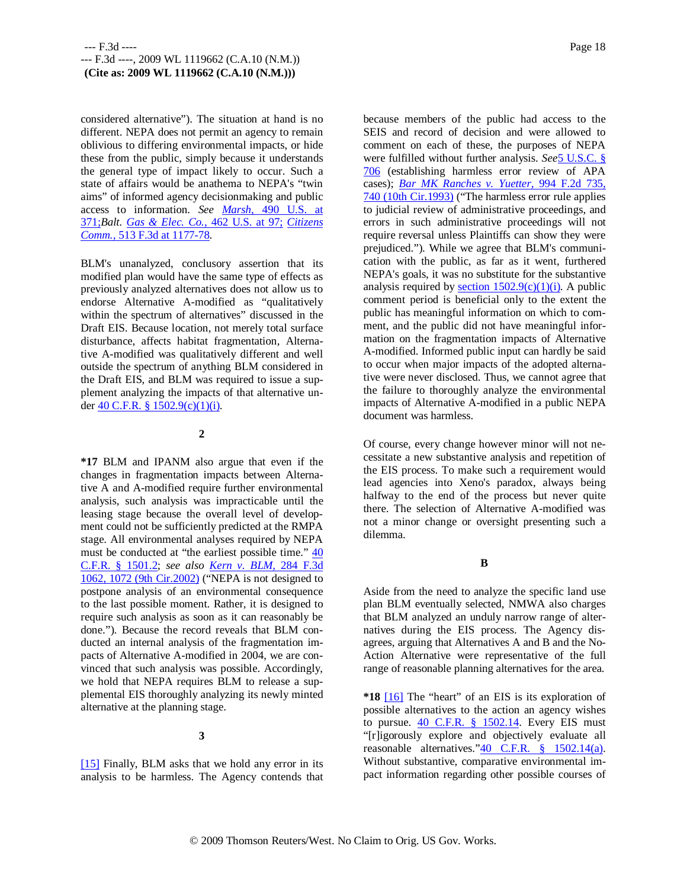considered alternative"). The situation at hand is no different. NEPA does not permit an agency to remain oblivious to differing environmental impacts, or hide these from the public, simply because it understands the general type of impact likely to occur. Such a state of affairs would be anathema to NEPA's "twin aims" of informed agency decisionmaking and public access to information. *See Marsh,* 490 U.S. at 371;*Balt. Gas & Elec. Co.,* 462 U.S. at 97; *Citizens Comm.,* 513 F.3d at 1177-78.

BLM's unanalyzed, conclusory assertion that its modified plan would have the same type of effects as previously analyzed alternatives does not allow us to endorse Alternative A-modified as "qualitatively within the spectrum of alternatives" discussed in the Draft EIS. Because location, not merely total surface disturbance, affects habitat fragmentation, Alternative A-modified was qualitatively different and well outside the spectrum of anything BLM considered in the Draft EIS, and BLM was required to issue a supplement analyzing the impacts of that alternative under 40 C.F.R. § 1502.9(c)(1)(i).

### **2**

**\*17** BLM and IPANM also argue that even if the changes in fragmentation impacts between Alternative A and A-modified require further environmental analysis, such analysis was impracticable until the leasing stage because the overall level of development could not be sufficiently predicted at the RMPA stage. All environmental analyses required by NEPA must be conducted at "the earliest possible time." 40 C.F.R. § 1501.2; *see also Kern v. BLM,* 284 F.3d 1062, 1072 (9th Cir.2002) ("NEPA is not designed to postpone analysis of an environmental consequence to the last possible moment. Rather, it is designed to require such analysis as soon as it can reasonably be done."). Because the record reveals that BLM conducted an internal analysis of the fragmentation impacts of Alternative A-modified in 2004, we are convinced that such analysis was possible. Accordingly, we hold that NEPA requires BLM to release a supplemental EIS thoroughly analyzing its newly minted alternative at the planning stage.

### **3**

[15] Finally, BLM asks that we hold any error in its analysis to be harmless. The Agency contends that

because members of the public had access to the SEIS and record of decision and were allowed to comment on each of these, the purposes of NEPA were fulfilled without further analysis. *See*5 U.S.C. § 706 (establishing harmless error review of APA cases); *Bar MK Ranches v. Yuetter,* 994 F.2d 735, 740 (10th Cir.1993) ("The harmless error rule applies to judicial review of administrative proceedings, and errors in such administrative proceedings will not require reversal unless Plaintiffs can show they were prejudiced."). While we agree that BLM's communication with the public, as far as it went, furthered NEPA's goals, it was no substitute for the substantive analysis required by section  $1502.9(c)(1)(i)$ . A public comment period is beneficial only to the extent the public has meaningful information on which to comment, and the public did not have meaningful information on the fragmentation impacts of Alternative A-modified. Informed public input can hardly be said to occur when major impacts of the adopted alternative were never disclosed. Thus, we cannot agree that the failure to thoroughly analyze the environmental impacts of Alternative A-modified in a public NEPA document was harmless.

Of course, every change however minor will not necessitate a new substantive analysis and repetition of the EIS process. To make such a requirement would lead agencies into Xeno's paradox, always being halfway to the end of the process but never quite there. The selection of Alternative A-modified was not a minor change or oversight presenting such a dilemma.

#### **B**

Aside from the need to analyze the specific land use plan BLM eventually selected, NMWA also charges that BLM analyzed an unduly narrow range of alternatives during the EIS process. The Agency disagrees, arguing that Alternatives A and B and the No-Action Alternative were representative of the full range of reasonable planning alternatives for the area.

**\*18** [16] The "heart" of an EIS is its exploration of possible alternatives to the action an agency wishes to pursue.  $40$  C.F.R.  $§$  1502.14. Every EIS must "[r]igorously explore and objectively evaluate all reasonable alternatives."40 C.F.R. § 1502.14(a). Without substantive, comparative environmental impact information regarding other possible courses of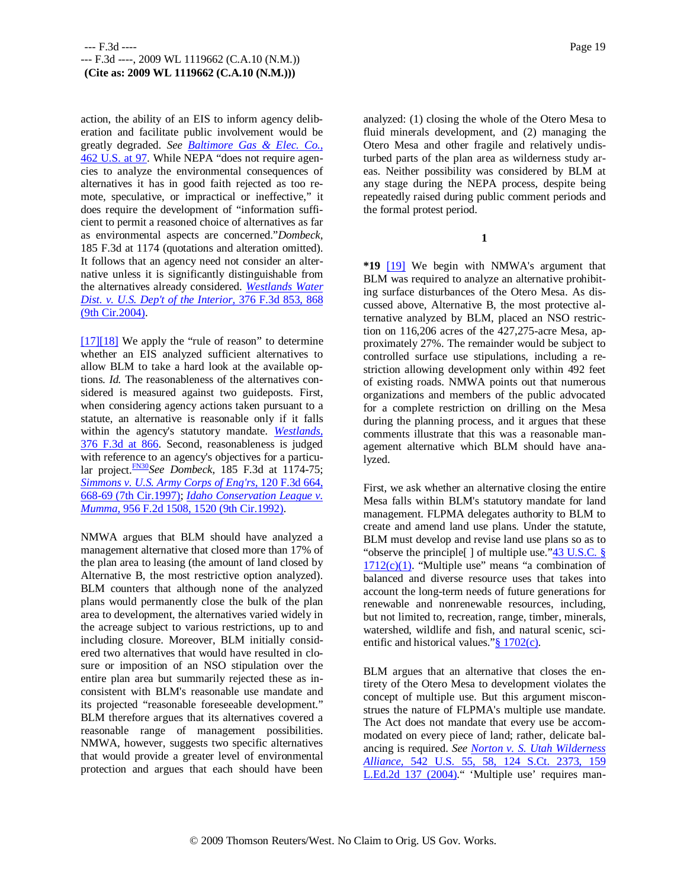action, the ability of an EIS to inform agency deliberation and facilitate public involvement would be greatly degraded. *See Baltimore Gas & Elec. Co.,* 462 U.S. at 97. While NEPA "does not require agencies to analyze the environmental consequences of alternatives it has in good faith rejected as too remote, speculative, or impractical or ineffective," it does require the development of "information sufficient to permit a reasoned choice of alternatives as far as environmental aspects are concerned."*Dombeck,* 185 F.3d at 1174 (quotations and alteration omitted). It follows that an agency need not consider an alternative unless it is significantly distinguishable from the alternatives already considered. *Westlands Water Dist. v. U.S. Dep't of the Interior,* 376 F.3d 853, 868 (9th Cir.2004).

[17][18] We apply the "rule of reason" to determine whether an EIS analyzed sufficient alternatives to allow BLM to take a hard look at the available options. *Id.* The reasonableness of the alternatives considered is measured against two guideposts. First, when considering agency actions taken pursuant to a statute, an alternative is reasonable only if it falls within the agency's statutory mandate. *Westlands,* 376 F.3d at 866. Second, reasonableness is judged with reference to an agency's objectives for a particular project.FN30*See Dombeck,* 185 F.3d at 1174-75; *Simmons v. U.S. Army Corps of Eng'rs,* 120 F.3d 664, 668-69 (7th Cir.1997); *Idaho Conservation League v. Mumma,* 956 F.2d 1508, 1520 (9th Cir.1992).

NMWA argues that BLM should have analyzed a management alternative that closed more than 17% of the plan area to leasing (the amount of land closed by Alternative B, the most restrictive option analyzed). BLM counters that although none of the analyzed plans would permanently close the bulk of the plan area to development, the alternatives varied widely in the acreage subject to various restrictions, up to and including closure. Moreover, BLM initially considered two alternatives that would have resulted in closure or imposition of an NSO stipulation over the entire plan area but summarily rejected these as inconsistent with BLM's reasonable use mandate and its projected "reasonable foreseeable development." BLM therefore argues that its alternatives covered a reasonable range of management possibilities. NMWA, however, suggests two specific alternatives that would provide a greater level of environmental protection and argues that each should have been

analyzed: (1) closing the whole of the Otero Mesa to fluid minerals development, and (2) managing the Otero Mesa and other fragile and relatively undisturbed parts of the plan area as wilderness study areas. Neither possibility was considered by BLM at any stage during the NEPA process, despite being repeatedly raised during public comment periods and the formal protest period.

**1**

**\*19** [19] We begin with NMWA's argument that BLM was required to analyze an alternative prohibiting surface disturbances of the Otero Mesa. As discussed above, Alternative B, the most protective alternative analyzed by BLM, placed an NSO restriction on 116,206 acres of the 427,275-acre Mesa, approximately 27%. The remainder would be subject to controlled surface use stipulations, including a restriction allowing development only within 492 feet of existing roads. NMWA points out that numerous organizations and members of the public advocated for a complete restriction on drilling on the Mesa during the planning process, and it argues that these comments illustrate that this was a reasonable management alternative which BLM should have analyzed.

First, we ask whether an alternative closing the entire Mesa falls within BLM's statutory mandate for land management. FLPMA delegates authority to BLM to create and amend land use plans. Under the statute, BLM must develop and revise land use plans so as to "observe the principle[ ] of multiple use."43 U.S.C. §  $1712(c)(1)$ . "Multiple use" means "a combination of balanced and diverse resource uses that takes into account the long-term needs of future generations for renewable and nonrenewable resources, including, but not limited to, recreation, range, timber, minerals, watershed, wildlife and fish, and natural scenic, scientific and historical values." $§$  1702(c).

BLM argues that an alternative that closes the entirety of the Otero Mesa to development violates the concept of multiple use. But this argument misconstrues the nature of FLPMA's multiple use mandate. The Act does not mandate that every use be accommodated on every piece of land; rather, delicate balancing is required. *See Norton v. S. Utah Wilderness Alliance,* 542 U.S. 55, 58, 124 S.Ct. 2373, 159 L.Ed.2d 137 (2004)." 'Multiple use' requires man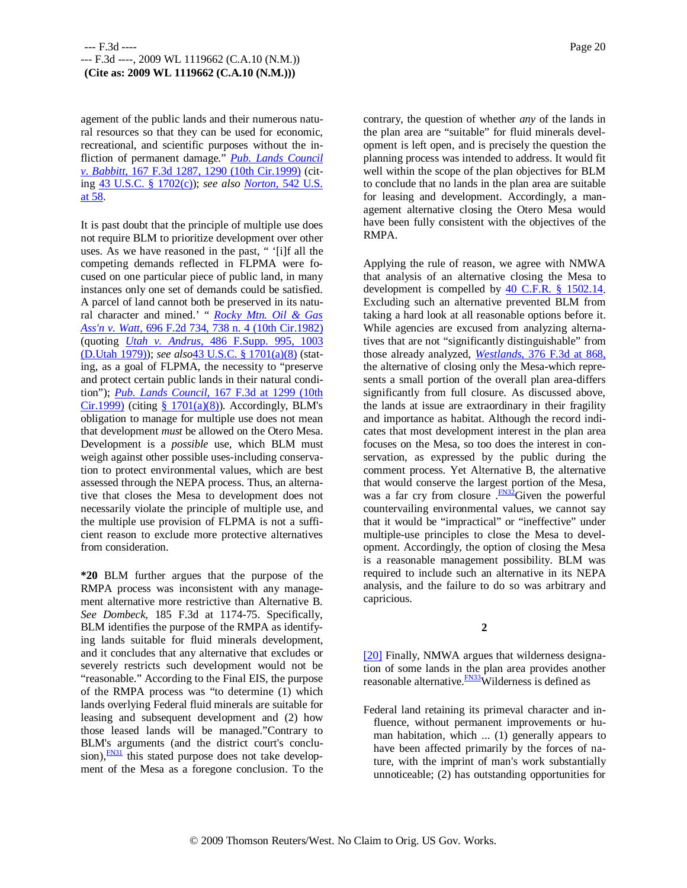agement of the public lands and their numerous natural resources so that they can be used for economic, recreational, and scientific purposes without the infliction of permanent damage." *Pub. Lands Council v. Babbitt,* 167 F.3d 1287, 1290 (10th Cir.1999) (citing 43 U.S.C. § 1702(c)); *see also Norton,* 542 U.S. at 58.

It is past doubt that the principle of multiple use does not require BLM to prioritize development over other uses. As we have reasoned in the past, " '[i]f all the competing demands reflected in FLPMA were focused on one particular piece of public land, in many instances only one set of demands could be satisfied. A parcel of land cannot both be preserved in its natural character and mined.' " *Rocky Mtn. Oil & Gas Ass'n v. Watt,* 696 F.2d 734, 738 n. 4 (10th Cir.1982) (quoting *Utah v. Andrus,* 486 F.Supp. 995, 1003 (D.Utah 1979)); *see also*43 U.S.C. § 1701(a)(8) (stating, as a goal of FLPMA, the necessity to "preserve and protect certain public lands in their natural condition"); *Pub. Lands Council,* 167 F.3d at 1299 (10th  $Cir.1999$  (citing §  $1701(a)(8)$ ). Accordingly, BLM's obligation to manage for multiple use does not mean that development *must* be allowed on the Otero Mesa. Development is a *possible* use, which BLM must weigh against other possible uses-including conservation to protect environmental values, which are best assessed through the NEPA process. Thus, an alternative that closes the Mesa to development does not necessarily violate the principle of multiple use, and the multiple use provision of FLPMA is not a sufficient reason to exclude more protective alternatives from consideration.

**\*20** BLM further argues that the purpose of the RMPA process was inconsistent with any management alternative more restrictive than Alternative B. *See Dombeck,* 185 F.3d at 1174-75. Specifically, BLM identifies the purpose of the RMPA as identifying lands suitable for fluid minerals development, and it concludes that any alternative that excludes or severely restricts such development would not be "reasonable." According to the Final EIS, the purpose of the RMPA process was "to determine (1) which lands overlying Federal fluid minerals are suitable for leasing and subsequent development and (2) how those leased lands will be managed."Contrary to BLM's arguments (and the district court's conclusion), $\frac{FN31}{FN31}$  this stated purpose does not take development of the Mesa as a foregone conclusion. To the

contrary, the question of whether *any* of the lands in the plan area are "suitable" for fluid minerals development is left open, and is precisely the question the planning process was intended to address. It would fit well within the scope of the plan objectives for BLM to conclude that no lands in the plan area are suitable for leasing and development. Accordingly, a management alternative closing the Otero Mesa would have been fully consistent with the objectives of the RMPA.

Applying the rule of reason, we agree with NMWA that analysis of an alternative closing the Mesa to development is compelled by 40 C.F.R. § 1502.14. Excluding such an alternative prevented BLM from taking a hard look at all reasonable options before it. While agencies are excused from analyzing alternatives that are not "significantly distinguishable" from those already analyzed, *Westlands,* 376 F.3d at 868, the alternative of closing only the Mesa-which represents a small portion of the overall plan area-differs significantly from full closure. As discussed above, the lands at issue are extraordinary in their fragility and importance as habitat. Although the record indicates that most development interest in the plan area focuses on the Mesa, so too does the interest in conservation, as expressed by the public during the comment process. Yet Alternative B, the alternative that would conserve the largest portion of the Mesa, was a far cry from closure  $\frac{FN32}{FN32}$  Given the powerful countervailing environmental values, we cannot say that it would be "impractical" or "ineffective" under multiple-use principles to close the Mesa to development. Accordingly, the option of closing the Mesa is a reasonable management possibility. BLM was required to include such an alternative in its NEPA analysis, and the failure to do so was arbitrary and capricious.

# **2**

[20] Finally, NMWA argues that wilderness designation of some lands in the plan area provides another reasonable alternative.<sup>FN33</sup>Wilderness is defined as

Federal land retaining its primeval character and influence, without permanent improvements or human habitation, which ... (1) generally appears to have been affected primarily by the forces of nature, with the imprint of man's work substantially unnoticeable; (2) has outstanding opportunities for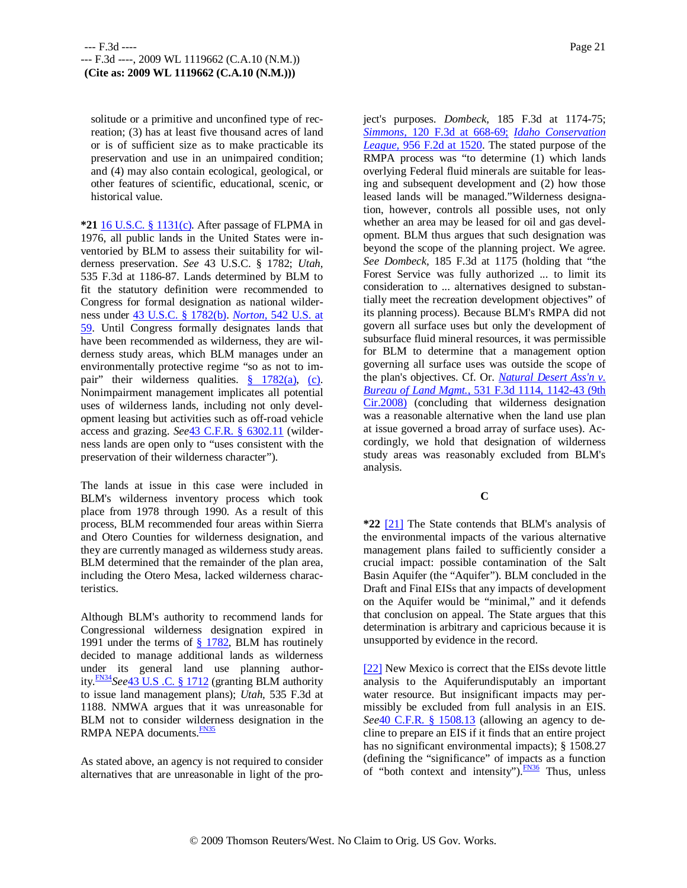solitude or a primitive and unconfined type of recreation; (3) has at least five thousand acres of land or is of sufficient size as to make practicable its preservation and use in an unimpaired condition; and (4) may also contain ecological, geological, or other features of scientific, educational, scenic, or historical value.

**\*21** 16 U.S.C. § 1131(c). After passage of FLPMA in 1976, all public lands in the United States were inventoried by BLM to assess their suitability for wilderness preservation. *See* 43 U.S.C. § 1782; *Utah,* 535 F.3d at 1186-87. Lands determined by BLM to fit the statutory definition were recommended to Congress for formal designation as national wilderness under 43 U.S.C. § 1782(b). *Norton,* 542 U.S. at 59. Until Congress formally designates lands that have been recommended as wilderness, they are wilderness study areas, which BLM manages under an environmentally protective regime "so as not to impair" their wilderness qualities. § 1782(a), (c). Nonimpairment management implicates all potential uses of wilderness lands, including not only development leasing but activities such as off-road vehicle access and grazing. *See*43 C.F.R. § 6302.11 (wilderness lands are open only to "uses consistent with the preservation of their wilderness character").

The lands at issue in this case were included in BLM's wilderness inventory process which took place from 1978 through 1990. As a result of this process, BLM recommended four areas within Sierra and Otero Counties for wilderness designation, and they are currently managed as wilderness study areas. BLM determined that the remainder of the plan area, including the Otero Mesa, lacked wilderness characteristics.

Although BLM's authority to recommend lands for Congressional wilderness designation expired in 1991 under the terms of  $\S$  1782, BLM has routinely decided to manage additional lands as wilderness under its general land use planning authority.FN34*See*43 U.S .C. § 1712 (granting BLM authority to issue land management plans); *Utah,* 535 F.3d at 1188. NMWA argues that it was unreasonable for BLM not to consider wilderness designation in the RMPA NEPA documents. **FN35** 

As stated above, an agency is not required to consider alternatives that are unreasonable in light of the project's purposes. *Dombeck,* 185 F.3d at 1174-75; *Simmons,* 120 F.3d at 668-69; *Idaho Conservation League,* 956 F.2d at 1520. The stated purpose of the RMPA process was "to determine (1) which lands overlying Federal fluid minerals are suitable for leasing and subsequent development and (2) how those leased lands will be managed."Wilderness designation, however, controls all possible uses, not only whether an area may be leased for oil and gas development. BLM thus argues that such designation was beyond the scope of the planning project. We agree. *See Dombeck,* 185 F.3d at 1175 (holding that "the Forest Service was fully authorized ... to limit its consideration to ... alternatives designed to substantially meet the recreation development objectives" of its planning process). Because BLM's RMPA did not govern all surface uses but only the development of subsurface fluid mineral resources, it was permissible for BLM to determine that a management option governing all surface uses was outside the scope of the plan's objectives. Cf. Or. *Natural Desert Ass'n v. Bureau of Land Mgmt.,* 531 F.3d 1114, 1142-43 (9th Cir.2008) (concluding that wilderness designation was a reasonable alternative when the land use plan at issue governed a broad array of surface uses). Accordingly, we hold that designation of wilderness study areas was reasonably excluded from BLM's analysis.

# **C**

**\*22** [21] The State contends that BLM's analysis of the environmental impacts of the various alternative management plans failed to sufficiently consider a crucial impact: possible contamination of the Salt Basin Aquifer (the "Aquifer"). BLM concluded in the Draft and Final EISs that any impacts of development on the Aquifer would be "minimal," and it defends that conclusion on appeal. The State argues that this determination is arbitrary and capricious because it is unsupported by evidence in the record.

[22] New Mexico is correct that the EISs devote little analysis to the Aquiferundisputably an important water resource. But insignificant impacts may permissibly be excluded from full analysis in an EIS. See<sup>4</sup>0 C.F.R. § 1508.13 (allowing an agency to decline to prepare an EIS if it finds that an entire project has no significant environmental impacts); § 1508.27 (defining the "significance" of impacts as a function of "both context and intensity"). FN36 Thus, unless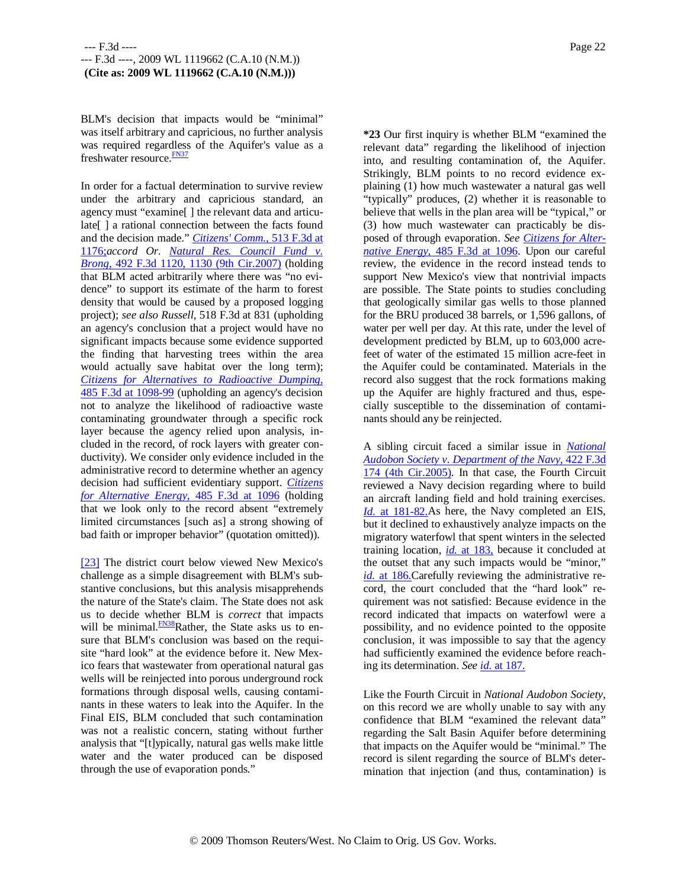BLM's decision that impacts would be "minimal" was itself arbitrary and capricious, no further analysis was required regardless of the Aquifer's value as a freshwater resource.<sup>FN37</sup>

In order for a factual determination to survive review under the arbitrary and capricious standard, an agency must "examine[ ] the relevant data and articulate[] a rational connection between the facts found and the decision made." *Citizens' Comm.,* 513 F.3d at 1176;*accord Or. Natural Res. Council Fund v. Brong,* 492 F.3d 1120, 1130 (9th Cir.2007) (holding that BLM acted arbitrarily where there was "no evidence" to support its estimate of the harm to forest density that would be caused by a proposed logging project); *see also Russell,* 518 F.3d at 831 (upholding an agency's conclusion that a project would have no significant impacts because some evidence supported the finding that harvesting trees within the area would actually save habitat over the long term); *Citizens for Alternatives to Radioactive Dumping,* 485 F.3d at 1098-99 (upholding an agency's decision not to analyze the likelihood of radioactive waste contaminating groundwater through a specific rock layer because the agency relied upon analysis, included in the record, of rock layers with greater conductivity). We consider only evidence included in the administrative record to determine whether an agency decision had sufficient evidentiary support. *Citizens for Alternative Energy,* 485 F.3d at 1096 (holding that we look only to the record absent "extremely limited circumstances [such as] a strong showing of bad faith or improper behavior" (quotation omitted)).

[23] The district court below viewed New Mexico's challenge as a simple disagreement with BLM's substantive conclusions, but this analysis misapprehends the nature of the State's claim. The State does not ask us to decide whether BLM is *correct* that impacts will be minimal.<sup>FN38</sup>Rather, the State asks us to ensure that BLM's conclusion was based on the requisite "hard look" at the evidence before it. New Mexico fears that wastewater from operational natural gas wells will be reinjected into porous underground rock formations through disposal wells, causing contaminants in these waters to leak into the Aquifer. In the Final EIS, BLM concluded that such contamination was not a realistic concern, stating without further analysis that "[t]ypically, natural gas wells make little water and the water produced can be disposed through the use of evaporation ponds."

**\*23** Our first inquiry is whether BLM "examined the relevant data" regarding the likelihood of injection into, and resulting contamination of, the Aquifer. Strikingly, BLM points to no record evidence explaining (1) how much wastewater a natural gas well "typically" produces, (2) whether it is reasonable to believe that wells in the plan area will be "typical," or (3) how much wastewater can practicably be disposed of through evaporation. *See Citizens for Alternative Energy,* 485 F.3d at 1096. Upon our careful review, the evidence in the record instead tends to support New Mexico's view that nontrivial impacts are possible. The State points to studies concluding that geologically similar gas wells to those planned for the BRU produced 38 barrels, or 1,596 gallons, of water per well per day. At this rate, under the level of development predicted by BLM, up to 603,000 acrefeet of water of the estimated 15 million acre-feet in the Aquifer could be contaminated. Materials in the record also suggest that the rock formations making up the Aquifer are highly fractured and thus, especially susceptible to the dissemination of contaminants should any be reinjected.

A sibling circuit faced a similar issue in *National Audobon Society v. Department of the Navy,* 422 F.3d 174 (4th Cir.2005). In that case, the Fourth Circuit reviewed a Navy decision regarding where to build an aircraft landing field and hold training exercises. *Id.* at 181-82.As here, the Navy completed an EIS, but it declined to exhaustively analyze impacts on the migratory waterfowl that spent winters in the selected training location, *id.* at 183, because it concluded at the outset that any such impacts would be "minor," *id.* at 186.Carefully reviewing the administrative record, the court concluded that the "hard look" requirement was not satisfied: Because evidence in the record indicated that impacts on waterfowl were a possibility, and no evidence pointed to the opposite conclusion, it was impossible to say that the agency had sufficiently examined the evidence before reaching its determination. *See id.* at 187.

Like the Fourth Circuit in *National Audobon Society,* on this record we are wholly unable to say with any confidence that BLM "examined the relevant data" regarding the Salt Basin Aquifer before determining that impacts on the Aquifer would be "minimal." The record is silent regarding the source of BLM's determination that injection (and thus, contamination) is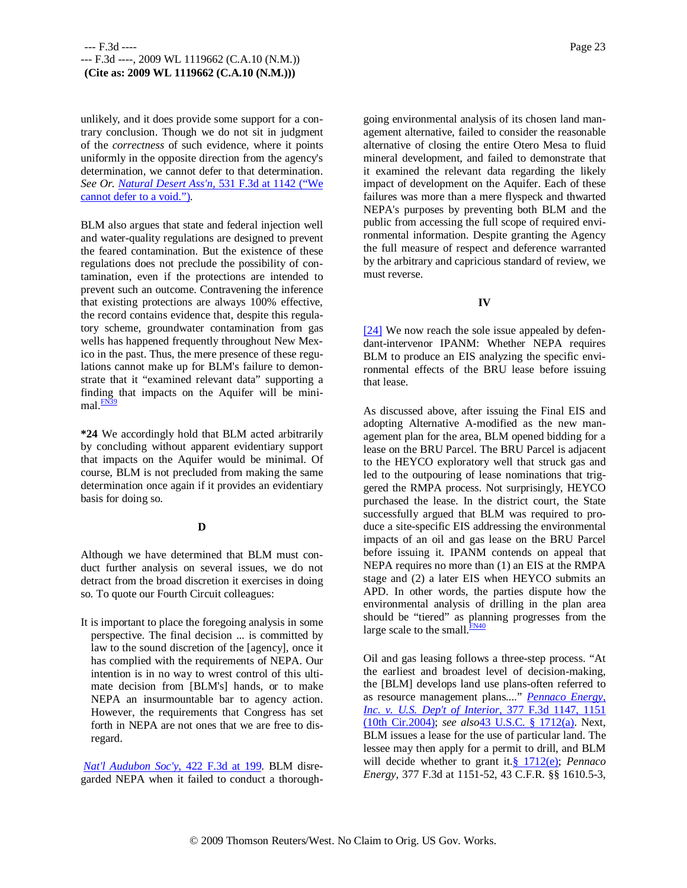unlikely, and it does provide some support for a contrary conclusion. Though we do not sit in judgment of the *correctness* of such evidence, where it points uniformly in the opposite direction from the agency's determination, we cannot defer to that determination. *See Or. Natural Desert Ass'n,* 531 F.3d at 1142 ("We cannot defer to a void.").

BLM also argues that state and federal injection well and water-quality regulations are designed to prevent the feared contamination. But the existence of these regulations does not preclude the possibility of contamination, even if the protections are intended to prevent such an outcome. Contravening the inference that existing protections are always 100% effective, the record contains evidence that, despite this regulatory scheme, groundwater contamination from gas wells has happened frequently throughout New Mexico in the past. Thus, the mere presence of these regulations cannot make up for BLM's failure to demonstrate that it "examined relevant data" supporting a finding that impacts on the Aquifer will be mini $mal.$  $\frac{FN39}{FN39}$ 

**\*24** We accordingly hold that BLM acted arbitrarily by concluding without apparent evidentiary support that impacts on the Aquifer would be minimal. Of course, BLM is not precluded from making the same determination once again if it provides an evidentiary basis for doing so.

### **D**

Although we have determined that BLM must conduct further analysis on several issues, we do not detract from the broad discretion it exercises in doing so. To quote our Fourth Circuit colleagues:

It is important to place the foregoing analysis in some perspective. The final decision ... is committed by law to the sound discretion of the [agency], once it has complied with the requirements of NEPA. Our intention is in no way to wrest control of this ultimate decision from [BLM's] hands, or to make NEPA an insurmountable bar to agency action. However, the requirements that Congress has set forth in NEPA are not ones that we are free to disregard.

*Nat'l Audubon Soc'y,* 422 F.3d at 199. BLM disregarded NEPA when it failed to conduct a thorough-

going environmental analysis of its chosen land management alternative, failed to consider the reasonable alternative of closing the entire Otero Mesa to fluid mineral development, and failed to demonstrate that it examined the relevant data regarding the likely impact of development on the Aquifer. Each of these failures was more than a mere flyspeck and thwarted NEPA's purposes by preventing both BLM and the public from accessing the full scope of required environmental information. Despite granting the Agency the full measure of respect and deference warranted by the arbitrary and capricious standard of review, we must reverse.

# **IV**

[24] We now reach the sole issue appealed by defendant-intervenor IPANM: Whether NEPA requires BLM to produce an EIS analyzing the specific environmental effects of the BRU lease before issuing that lease.

As discussed above, after issuing the Final EIS and adopting Alternative A-modified as the new management plan for the area, BLM opened bidding for a lease on the BRU Parcel. The BRU Parcel is adjacent to the HEYCO exploratory well that struck gas and led to the outpouring of lease nominations that triggered the RMPA process. Not surprisingly, HEYCO purchased the lease. In the district court, the State successfully argued that BLM was required to produce a site-specific EIS addressing the environmental impacts of an oil and gas lease on the BRU Parcel before issuing it. IPANM contends on appeal that NEPA requires no more than (1) an EIS at the RMPA stage and (2) a later EIS when HEYCO submits an APD. In other words, the parties dispute how the environmental analysis of drilling in the plan area should be "tiered" as planning progresses from the large scale to the small. $\frac{FN40}{FN40}$ 

Oil and gas leasing follows a three-step process. "At the earliest and broadest level of decision-making, the [BLM] develops land use plans-often referred to as resource management plans...." *Pennaco Energy, Inc. v. U.S. Dep't of Interior,* 377 F.3d 1147, 1151 (10th Cir.2004); *see also*43 U.S.C. § 1712(a). Next, BLM issues a lease for the use of particular land. The lessee may then apply for a permit to drill, and BLM will decide whether to grant it.§ 1712(e); *Pennaco Energy,* 377 F.3d at 1151-52, 43 C.F.R. §§ 1610.5-3,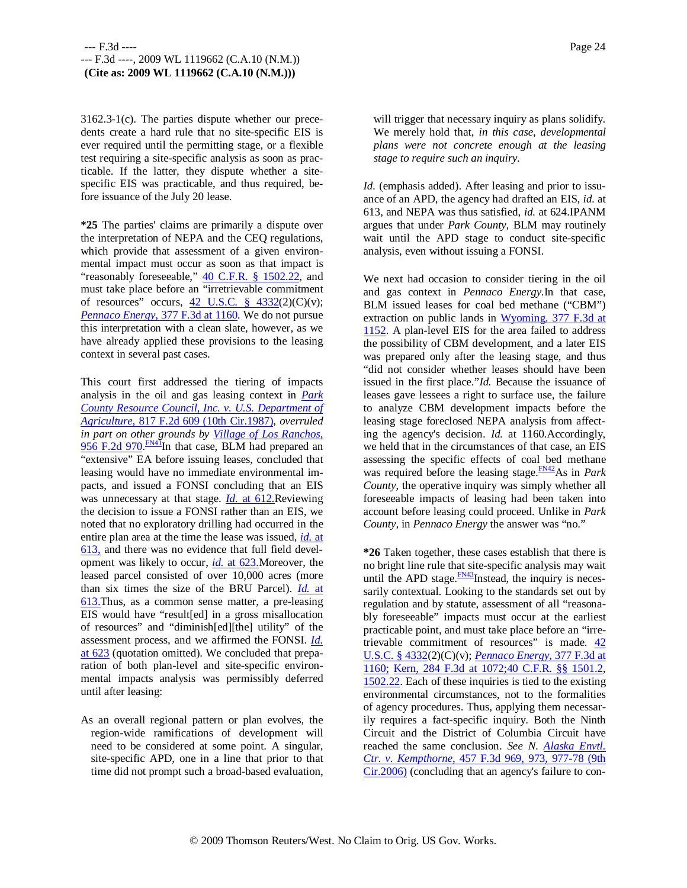3162.3-1(c). The parties dispute whether our precedents create a hard rule that no site-specific EIS is ever required until the permitting stage, or a flexible test requiring a site-specific analysis as soon as practicable. If the latter, they dispute whether a sitespecific EIS was practicable, and thus required, before issuance of the July 20 lease.

**\*25** The parties' claims are primarily a dispute over the interpretation of NEPA and the CEQ regulations, which provide that assessment of a given environmental impact must occur as soon as that impact is "reasonably foreseeable," 40 C.F.R. § 1502.22, and must take place before an "irretrievable commitment of resources" occurs,  $42$  U.S.C.  $\frac{6}{9}$   $4332(2)(C)(v)$ ; *Pennaco Energy,* 377 F.3d at 1160. We do not pursue this interpretation with a clean slate, however, as we have already applied these provisions to the leasing context in several past cases.

This court first addressed the tiering of impacts analysis in the oil and gas leasing context in *Park County Resource Council, Inc. v. U.S. Department of Agriculture,* 817 F.2d 609 (10th Cir.1987), *overruled in part on other grounds by Village of Los Ranchos,*  $\frac{956 \text{ F}.2d \frac{970}{\text{ F}}}{100 \text{ H}}$  in that case, BLM had prepared an "extensive" EA before issuing leases, concluded that leasing would have no immediate environmental impacts, and issued a FONSI concluding that an EIS was unnecessary at that stage. *Id.* at 612.Reviewing the decision to issue a FONSI rather than an EIS, we noted that no exploratory drilling had occurred in the entire plan area at the time the lease was issued, *id.* at 613, and there was no evidence that full field development was likely to occur, *id.* at 623.Moreover, the leased parcel consisted of over 10,000 acres (more than six times the size of the BRU Parcel). *Id.* at 613.Thus, as a common sense matter, a pre-leasing EIS would have "result[ed] in a gross misallocation of resources" and "diminish[ed][the] utility" of the assessment process, and we affirmed the FONSI. *Id.* at 623 (quotation omitted). We concluded that preparation of both plan-level and site-specific environmental impacts analysis was permissibly deferred until after leasing:

As an overall regional pattern or plan evolves, the region-wide ramifications of development will need to be considered at some point. A singular, site-specific APD, one in a line that prior to that time did not prompt such a broad-based evaluation, will trigger that necessary inquiry as plans solidify. We merely hold that, *in this case, developmental plans were not concrete enough at the leasing stage to require such an inquiry.*

*Id.* (emphasis added). After leasing and prior to issuance of an APD, the agency had drafted an EIS, *id.* at 613, and NEPA was thus satisfied, *id.* at 624.IPANM argues that under *Park County,* BLM may routinely wait until the APD stage to conduct site-specific analysis, even without issuing a FONSI.

We next had occasion to consider tiering in the oil and gas context in *Pennaco Energy.*In that case, BLM issued leases for coal bed methane ("CBM") extraction on public lands in Wyoming. 377 F.3d at 1152. A plan-level EIS for the area failed to address the possibility of CBM development, and a later EIS was prepared only after the leasing stage, and thus "did not consider whether leases should have been issued in the first place."*Id.* Because the issuance of leases gave lessees a right to surface use, the failure to analyze CBM development impacts before the leasing stage foreclosed NEPA analysis from affecting the agency's decision. *Id.* at 1160.Accordingly, we held that in the circumstances of that case, an EIS assessing the specific effects of coal bed methane was required before the leasing stage.<sup>FN42</sup>As in *Park County,* the operative inquiry was simply whether all foreseeable impacts of leasing had been taken into account before leasing could proceed. Unlike in *Park County,* in *Pennaco Energy* the answer was "no."

**\*26** Taken together, these cases establish that there is no bright line rule that site-specific analysis may wait until the APD stage. $\frac{FN43}{FN43}$ Instead, the inquiry is necessarily contextual. Looking to the standards set out by regulation and by statute, assessment of all "reasonably foreseeable" impacts must occur at the earliest practicable point, and must take place before an "irretrievable commitment of resources" is made. 42 U.S.C. § 4332(2)(C)(v); *Pennaco Energy,* 377 F.3d at 1160; Kern, 284 F.3d at 1072;40 C.F.R. §§ 1501.2, 1502.22. Each of these inquiries is tied to the existing environmental circumstances, not to the formalities of agency procedures. Thus, applying them necessarily requires a fact-specific inquiry. Both the Ninth Circuit and the District of Columbia Circuit have reached the same conclusion. *See N. Alaska Envtl. Ctr. v. Kempthorne,* 457 F.3d 969, 973, 977-78 (9th Cir.2006) (concluding that an agency's failure to con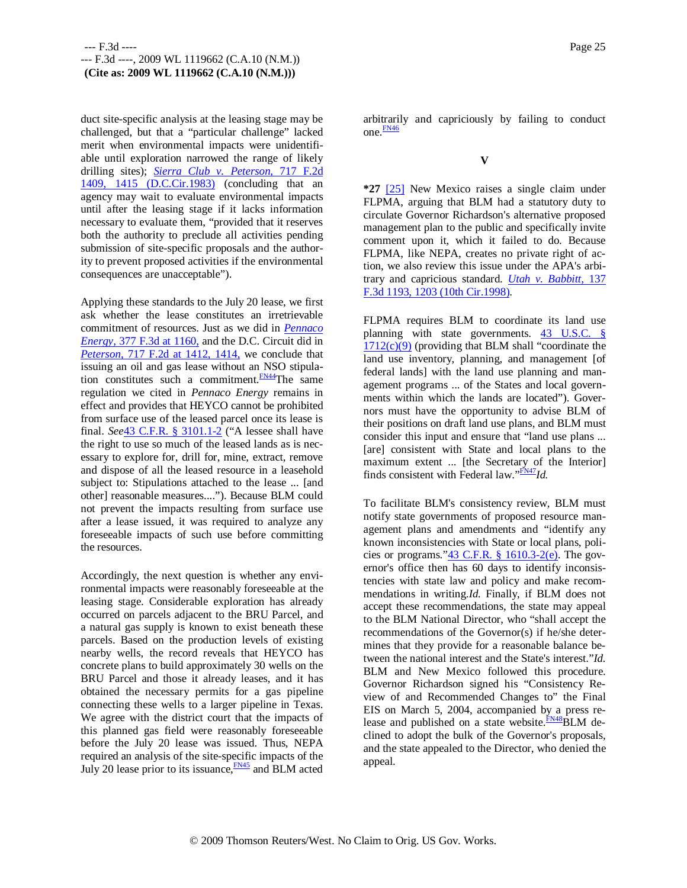duct site-specific analysis at the leasing stage may be challenged, but that a "particular challenge" lacked merit when environmental impacts were unidentifiable until exploration narrowed the range of likely drilling sites); *Sierra Club v. Peterson,* 717 F.2d 1409, 1415 (D.C.Cir.1983) (concluding that an agency may wait to evaluate environmental impacts until after the leasing stage if it lacks information necessary to evaluate them, "provided that it reserves both the authority to preclude all activities pending submission of site-specific proposals and the authority to prevent proposed activities if the environmental consequences are unacceptable").

Applying these standards to the July 20 lease, we first ask whether the lease constitutes an irretrievable commitment of resources. Just as we did in *Pennaco Energy,* 377 F.3d at 1160, and the D.C. Circuit did in *Peterson,* 717 F.2d at 1412, 1414, we conclude that issuing an oil and gas lease without an NSO stipulation constitutes such a commitment. $F_{N44}$ The same regulation we cited in *Pennaco Energy* remains in effect and provides that HEYCO cannot be prohibited from surface use of the leased parcel once its lease is final. *See*43 C.F.R. § 3101.1-2 ("A lessee shall have the right to use so much of the leased lands as is necessary to explore for, drill for, mine, extract, remove and dispose of all the leased resource in a leasehold subject to: Stipulations attached to the lease ... [and other] reasonable measures...."). Because BLM could not prevent the impacts resulting from surface use after a lease issued, it was required to analyze any foreseeable impacts of such use before committing the resources.

Accordingly, the next question is whether any environmental impacts were reasonably foreseeable at the leasing stage. Considerable exploration has already occurred on parcels adjacent to the BRU Parcel, and a natural gas supply is known to exist beneath these parcels. Based on the production levels of existing nearby wells, the record reveals that HEYCO has concrete plans to build approximately 30 wells on the BRU Parcel and those it already leases, and it has obtained the necessary permits for a gas pipeline connecting these wells to a larger pipeline in Texas. We agree with the district court that the impacts of this planned gas field were reasonably foreseeable before the July 20 lease was issued. Thus, NEPA required an analysis of the site-specific impacts of the July 20 lease prior to its issuance, $\frac{FN45}{FN45}$  and BLM acted

arbitrarily and capriciously by failing to conduct one.FN46

**V**

**\*27** [25] New Mexico raises a single claim under FLPMA, arguing that BLM had a statutory duty to circulate Governor Richardson's alternative proposed management plan to the public and specifically invite comment upon it, which it failed to do. Because FLPMA, like NEPA, creates no private right of action, we also review this issue under the APA's arbitrary and capricious standard. *Utah v. Babbitt,* 137 F.3d 1193, 1203 (10th Cir.1998).

FLPMA requires BLM to coordinate its land use planning with state governments. 43 U.S.C. §  $1712(c)(9)$  (providing that BLM shall "coordinate the land use inventory, planning, and management [of federal lands] with the land use planning and management programs ... of the States and local governments within which the lands are located"). Governors must have the opportunity to advise BLM of their positions on draft land use plans, and BLM must consider this input and ensure that "land use plans ... [are] consistent with State and local plans to the maximum extent ... [the Secretary of the Interior] finds consistent with Federal law."FN47*Id.*

To facilitate BLM's consistency review, BLM must notify state governments of proposed resource management plans and amendments and "identify any known inconsistencies with State or local plans, policies or programs." $43$  C.F.R. § 1610.3-2(e). The governor's office then has 60 days to identify inconsistencies with state law and policy and make recommendations in writing.*Id.* Finally, if BLM does not accept these recommendations, the state may appeal to the BLM National Director, who "shall accept the recommendations of the Governor(s) if he/she determines that they provide for a reasonable balance between the national interest and the State's interest."*Id.* BLM and New Mexico followed this procedure. Governor Richardson signed his "Consistency Review of and Recommended Changes to" the Final EIS on March 5, 2004, accompanied by a press release and published on a state website. $\frac{FNA8}{FNA}$ BLM declined to adopt the bulk of the Governor's proposals, and the state appealed to the Director, who denied the appeal.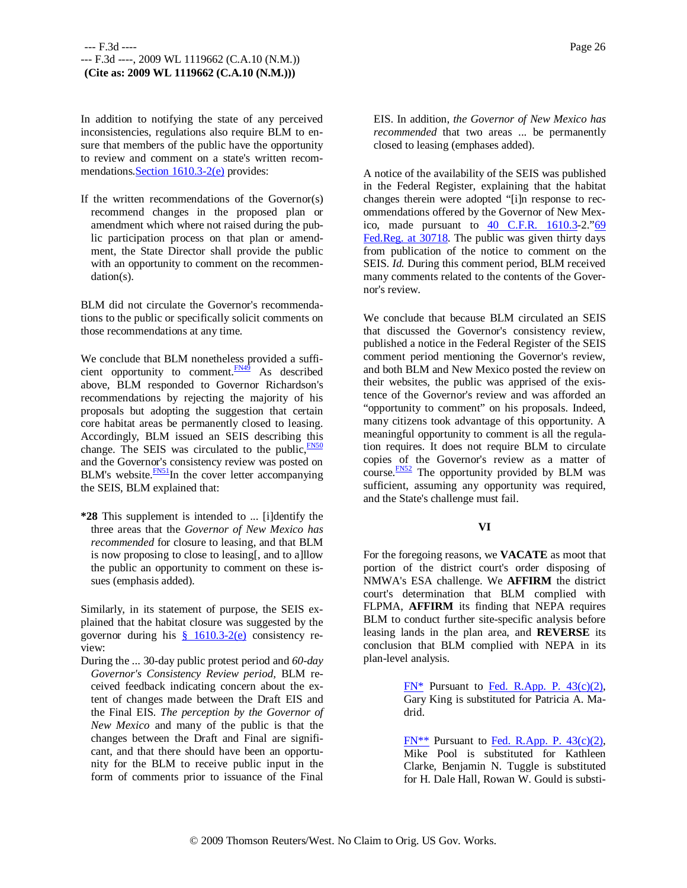In addition to notifying the state of any perceived inconsistencies, regulations also require BLM to ensure that members of the public have the opportunity to review and comment on a state's written recommendations.Section 1610.3-2(e) provides:

If the written recommendations of the Governor(s) recommend changes in the proposed plan or amendment which where not raised during the public participation process on that plan or amendment, the State Director shall provide the public with an opportunity to comment on the recommendation(s).

BLM did not circulate the Governor's recommendations to the public or specifically solicit comments on those recommendations at any time.

We conclude that BLM nonetheless provided a sufficient opportunity to comment. $\frac{FN49}{FN49}$  As described above, BLM responded to Governor Richardson's recommendations by rejecting the majority of his proposals but adopting the suggestion that certain core habitat areas be permanently closed to leasing. Accordingly, BLM issued an SEIS describing this change. The SEIS was circulated to the public,  $\frac{FN50}{FN50}$ and the Governor's consistency review was posted on BLM's website. $\frac{FN51}{N}$ In the cover letter accompanying the SEIS, BLM explained that:

**\*28** This supplement is intended to ... [i]dentify the three areas that the *Governor of New Mexico has recommended* for closure to leasing, and that BLM is now proposing to close to leasing[, and to a]llow the public an opportunity to comment on these issues (emphasis added).

Similarly, in its statement of purpose, the SEIS explained that the habitat closure was suggested by the governor during his  $\frac{8}{9}$  1610.3-2(e) consistency review:

During the ... 30-day public protest period and *60-day Governor's Consistency Review period,* BLM received feedback indicating concern about the extent of changes made between the Draft EIS and the Final EIS. *The perception by the Governor of New Mexico* and many of the public is that the changes between the Draft and Final are significant, and that there should have been an opportunity for the BLM to receive public input in the form of comments prior to issuance of the Final

EIS. In addition, *the Governor of New Mexico has recommended* that two areas ... be permanently closed to leasing (emphases added).

A notice of the availability of the SEIS was published in the Federal Register, explaining that the habitat changes therein were adopted "[i]n response to recommendations offered by the Governor of New Mexico, made pursuant to  $\frac{40}{1}$  C.F.R. 1610.3-2."69 Fed.Reg. at 30718. The public was given thirty days from publication of the notice to comment on the SEIS. *Id.* During this comment period, BLM received many comments related to the contents of the Governor's review.

We conclude that because BLM circulated an SEIS that discussed the Governor's consistency review, published a notice in the Federal Register of the SEIS comment period mentioning the Governor's review, and both BLM and New Mexico posted the review on their websites, the public was apprised of the existence of the Governor's review and was afforded an "opportunity to comment" on his proposals. Indeed, many citizens took advantage of this opportunity. A meaningful opportunity to comment is all the regulation requires. It does not require BLM to circulate copies of the Governor's review as a matter of course.<sup>FN52</sup> The opportunity provided by BLM was sufficient, assuming any opportunity was required, and the State's challenge must fail.

### **VI**

For the foregoing reasons, we **VACATE** as moot that portion of the district court's order disposing of NMWA's ESA challenge. We **AFFIRM** the district court's determination that BLM complied with FLPMA, **AFFIRM** its finding that NEPA requires BLM to conduct further site-specific analysis before leasing lands in the plan area, and **REVERSE** its conclusion that BLM complied with NEPA in its plan-level analysis.

> $FN^*$  Pursuant to Fed. R.App. P. 43(c)(2), Gary King is substituted for Patricia A. Madrid.

> FN\*\* Pursuant to Fed. R.App. P. 43(c)(2), Mike Pool is substituted for Kathleen Clarke, Benjamin N. Tuggle is substituted for H. Dale Hall, Rowan W. Gould is substi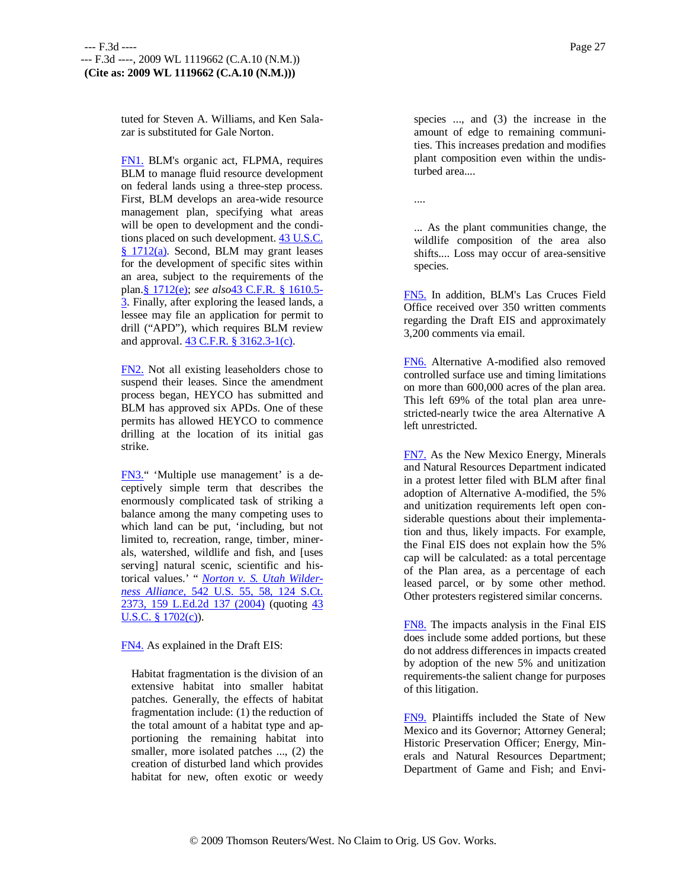tuted for Steven A. Williams, and Ken Salazar is substituted for Gale Norton.

FN1. BLM's organic act, FLPMA, requires BLM to manage fluid resource development on federal lands using a three-step process. First, BLM develops an area-wide resource management plan, specifying what areas will be open to development and the conditions placed on such development. 43 U.S.C. § 1712(a). Second, BLM may grant leases for the development of specific sites within an area, subject to the requirements of the plan.§ 1712(e); *see also*43 C.F.R. § 1610.5- 3. Finally, after exploring the leased lands, a lessee may file an application for permit to drill ("APD"), which requires BLM review and approval. 43 C.F.R. § 3162.3-1(c).

FN2. Not all existing leaseholders chose to suspend their leases. Since the amendment process began, HEYCO has submitted and BLM has approved six APDs. One of these permits has allowed HEYCO to commence drilling at the location of its initial gas strike.

FN3." 'Multiple use management' is a deceptively simple term that describes the enormously complicated task of striking a balance among the many competing uses to which land can be put, 'including, but not limited to, recreation, range, timber, minerals, watershed, wildlife and fish, and [uses serving] natural scenic, scientific and historical values.' " *Norton v. S. Utah Wilderness Alliance,* 542 U.S. 55, 58, 124 S.Ct. 2373, 159 L.Ed.2d 137 (2004) (quoting 43 U.S.C.  $§ 1702(c)$ .

FN4. As explained in the Draft EIS:

Habitat fragmentation is the division of an extensive habitat into smaller habitat patches. Generally, the effects of habitat fragmentation include: (1) the reduction of the total amount of a habitat type and apportioning the remaining habitat into smaller, more isolated patches ..., (2) the creation of disturbed land which provides habitat for new, often exotic or weedy

species ..., and (3) the increase in the amount of edge to remaining communities. This increases predation and modifies plant composition even within the undisturbed area....

....

... As the plant communities change, the wildlife composition of the area also shifts.... Loss may occur of area-sensitive species.

FN5. In addition, BLM's Las Cruces Field Office received over 350 written comments regarding the Draft EIS and approximately 3,200 comments via email.

FN6. Alternative A-modified also removed controlled surface use and timing limitations on more than 600,000 acres of the plan area. This left 69% of the total plan area unrestricted-nearly twice the area Alternative A left unrestricted.

FN7. As the New Mexico Energy, Minerals and Natural Resources Department indicated in a protest letter filed with BLM after final adoption of Alternative A-modified, the 5% and unitization requirements left open considerable questions about their implementation and thus, likely impacts. For example, the Final EIS does not explain how the 5% cap will be calculated: as a total percentage of the Plan area, as a percentage of each leased parcel, or by some other method. Other protesters registered similar concerns.

FN8. The impacts analysis in the Final EIS does include some added portions, but these do not address differences in impacts created by adoption of the new 5% and unitization requirements-the salient change for purposes of this litigation.

FN9. Plaintiffs included the State of New Mexico and its Governor; Attorney General; Historic Preservation Officer; Energy, Minerals and Natural Resources Department; Department of Game and Fish; and Envi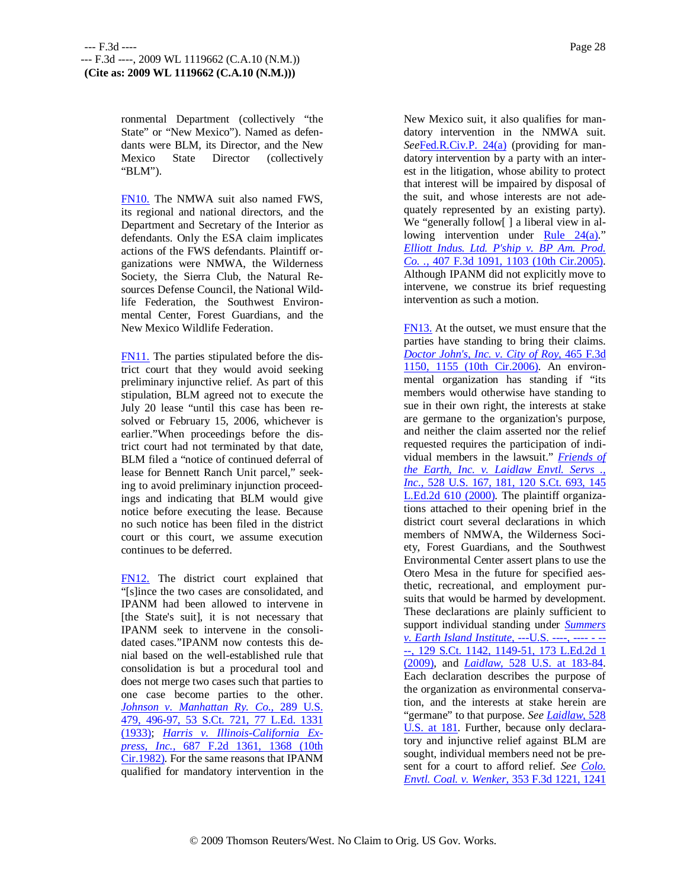ronmental Department (collectively "the State" or "New Mexico"). Named as defendants were BLM, its Director, and the New Mexico State Director (collectively "BLM").

FN10. The NMWA suit also named FWS, its regional and national directors, and the Department and Secretary of the Interior as defendants. Only the ESA claim implicates actions of the FWS defendants. Plaintiff organizations were NMWA, the Wilderness Society, the Sierra Club, the Natural Resources Defense Council, the National Wildlife Federation, the Southwest Environmental Center, Forest Guardians, and the New Mexico Wildlife Federation.

FN11. The parties stipulated before the district court that they would avoid seeking preliminary injunctive relief. As part of this stipulation, BLM agreed not to execute the July 20 lease "until this case has been resolved or February 15, 2006, whichever is earlier."When proceedings before the district court had not terminated by that date, BLM filed a "notice of continued deferral of lease for Bennett Ranch Unit parcel," seeking to avoid preliminary injunction proceedings and indicating that BLM would give notice before executing the lease. Because no such notice has been filed in the district court or this court, we assume execution continues to be deferred.

FN12. The district court explained that "[s]ince the two cases are consolidated, and IPANM had been allowed to intervene in [the State's suit], it is not necessary that IPANM seek to intervene in the consolidated cases."IPANM now contests this denial based on the well-established rule that consolidation is but a procedural tool and does not merge two cases such that parties to one case become parties to the other. *Johnson v. Manhattan Ry. Co.,* 289 U.S. 479, 496-97, 53 S.Ct. 721, 77 L.Ed. 1331 (1933); *Harris v. Illinois-California Express, Inc.,* 687 F.2d 1361, 1368 (10th Cir.1982). For the same reasons that IPANM qualified for mandatory intervention in the

New Mexico suit, it also qualifies for mandatory intervention in the NMWA suit. *See*Fed.R.Civ.P. 24(a) (providing for mandatory intervention by a party with an interest in the litigation, whose ability to protect that interest will be impaired by disposal of the suit, and whose interests are not adequately represented by an existing party). We "generally follow[] a liberal view in allowing intervention under Rule  $24(a)$ ." *Elliott Indus. Ltd. P'ship v. BP Am. Prod. Co. .,* 407 F.3d 1091, 1103 (10th Cir.2005). Although IPANM did not explicitly move to intervene, we construe its brief requesting intervention as such a motion.

FN13. At the outset, we must ensure that the parties have standing to bring their claims. *Doctor John's, Inc. v. City of Roy,* 465 F.3d 1150, 1155 (10th Cir.2006). An environmental organization has standing if "its members would otherwise have standing to sue in their own right, the interests at stake are germane to the organization's purpose, and neither the claim asserted nor the relief requested requires the participation of individual members in the lawsuit." *Friends of the Earth, Inc. v. Laidlaw Envtl. Servs ., Inc.,* 528 U.S. 167, 181, 120 S.Ct. 693, 145 L.Ed.2d 610 (2000). The plaintiff organizations attached to their opening brief in the district court several declarations in which members of NMWA, the Wilderness Society, Forest Guardians, and the Southwest Environmental Center assert plans to use the Otero Mesa in the future for specified aesthetic, recreational, and employment pursuits that would be harmed by development. These declarations are plainly sufficient to support individual standing under *Summers v. Earth Island Institute,* ---U.S. ----, ---- - -- --, 129 S.Ct. 1142, 1149-51, 173 L.Ed.2d 1 (2009), and *Laidlaw,* 528 U.S. at 183-84. Each declaration describes the purpose of the organization as environmental conservation, and the interests at stake herein are "germane" to that purpose. *See Laidlaw,* 528 U.S. at 181. Further, because only declaratory and injunctive relief against BLM are sought, individual members need not be present for a court to afford relief. *See Colo. Envtl. Coal. v. Wenker,* 353 F.3d 1221, 1241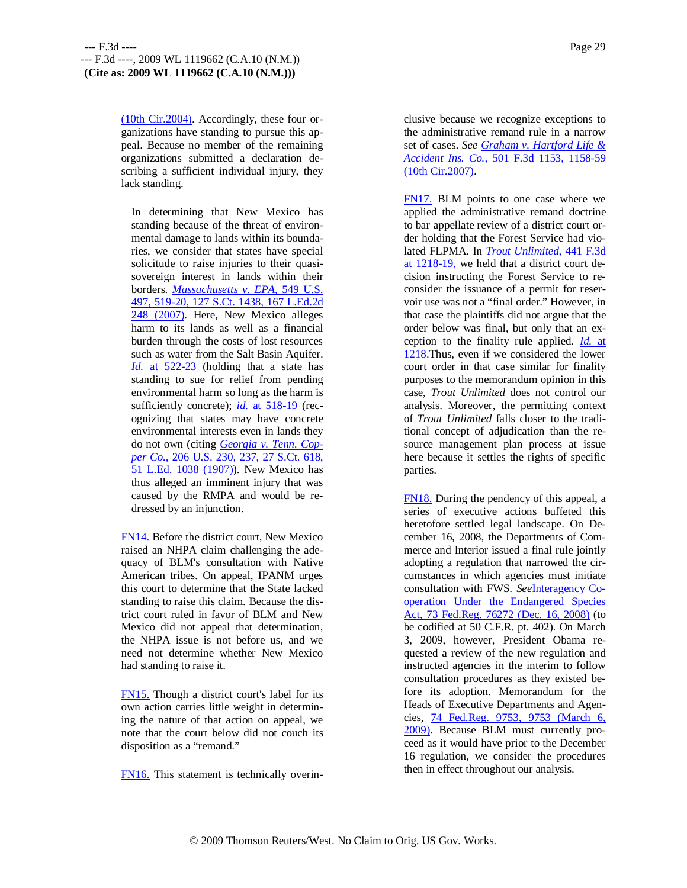(10th Cir.2004). Accordingly, these four organizations have standing to pursue this appeal. Because no member of the remaining organizations submitted a declaration describing a sufficient individual injury, they lack standing.

In determining that New Mexico has standing because of the threat of environmental damage to lands within its boundaries, we consider that states have special solicitude to raise injuries to their quasisovereign interest in lands within their borders. *Massachusetts v. EPA,* 549 U.S. 497, 519-20, 127 S.Ct. 1438, 167 L.Ed.2d 248 (2007). Here, New Mexico alleges harm to its lands as well as a financial burden through the costs of lost resources such as water from the Salt Basin Aquifer. *Id.* at 522-23 (holding that a state has standing to sue for relief from pending environmental harm so long as the harm is sufficiently concrete); *id.* at 518-19 (recognizing that states may have concrete environmental interests even in lands they do not own (citing *Georgia v. Tenn. Copper Co.,* 206 U.S. 230, 237, 27 S.Ct. 618, 51 L.Ed. 1038 (1907)). New Mexico has thus alleged an imminent injury that was caused by the RMPA and would be redressed by an injunction.

FN14. Before the district court, New Mexico raised an NHPA claim challenging the adequacy of BLM's consultation with Native American tribes. On appeal, IPANM urges this court to determine that the State lacked standing to raise this claim. Because the district court ruled in favor of BLM and New Mexico did not appeal that determination, the NHPA issue is not before us, and we need not determine whether New Mexico had standing to raise it.

FN15. Though a district court's label for its own action carries little weight in determining the nature of that action on appeal, we note that the court below did not couch its disposition as a "remand."

FN16. This statement is technically overin-

clusive because we recognize exceptions to the administrative remand rule in a narrow set of cases. *See Graham v. Hartford Life & Accident Ins. Co.,* 501 F.3d 1153, 1158-59 (10th Cir.2007).

FN17. BLM points to one case where we applied the administrative remand doctrine to bar appellate review of a district court order holding that the Forest Service had violated FLPMA. In *Trout Unlimited,* 441 F.3d at 1218-19, we held that a district court decision instructing the Forest Service to reconsider the issuance of a permit for reservoir use was not a "final order." However, in that case the plaintiffs did not argue that the order below was final, but only that an exception to the finality rule applied. *Id.* at 1218.Thus, even if we considered the lower court order in that case similar for finality purposes to the memorandum opinion in this case, *Trout Unlimited* does not control our analysis. Moreover, the permitting context of *Trout Unlimited* falls closer to the traditional concept of adjudication than the resource management plan process at issue here because it settles the rights of specific parties.

FN18. During the pendency of this appeal, a series of executive actions buffeted this heretofore settled legal landscape. On December 16, 2008, the Departments of Commerce and Interior issued a final rule jointly adopting a regulation that narrowed the circumstances in which agencies must initiate consultation with FWS. *See*Interagency Cooperation Under the Endangered Species Act, 73 Fed.Reg. 76272 (Dec. 16, 2008) (to be codified at 50 C.F.R. pt. 402). On March 3, 2009, however, President Obama requested a review of the new regulation and instructed agencies in the interim to follow consultation procedures as they existed before its adoption. Memorandum for the Heads of Executive Departments and Agencies, 74 Fed.Reg. 9753, 9753 (March 6, 2009). Because BLM must currently proceed as it would have prior to the December 16 regulation, we consider the procedures then in effect throughout our analysis.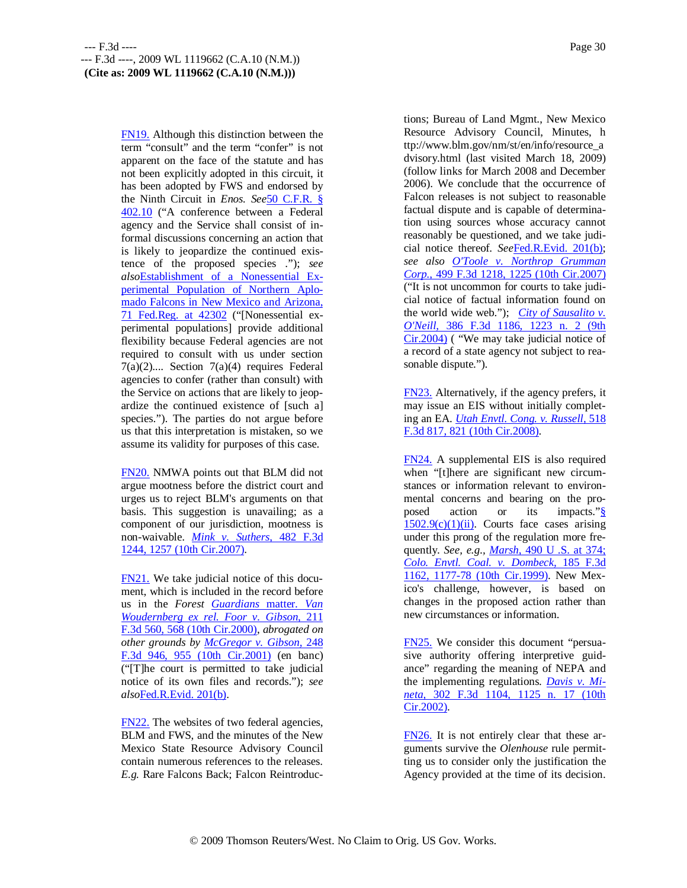FN19. Although this distinction between the term "consult" and the term "confer" is not apparent on the face of the statute and has not been explicitly adopted in this circuit, it has been adopted by FWS and endorsed by the Ninth Circuit in *Enos. See*50 C.F.R. § 402.10 ("A conference between a Federal agency and the Service shall consist of informal discussions concerning an action that is likely to jeopardize the continued existence of the proposed species ."); *see also*Establishment of a Nonessential Experimental Population of Northern Aplomado Falcons in New Mexico and Arizona, 71 Fed.Reg. at 42302 ("[Nonessential experimental populations] provide additional flexibility because Federal agencies are not required to consult with us under section 7(a)(2).... Section 7(a)(4) requires Federal agencies to confer (rather than consult) with the Service on actions that are likely to jeopardize the continued existence of [such a] species."). The parties do not argue before us that this interpretation is mistaken, so we assume its validity for purposes of this case.

FN20. NMWA points out that BLM did not argue mootness before the district court and urges us to reject BLM's arguments on that basis. This suggestion is unavailing; as a component of our jurisdiction, mootness is non-waivable. *Mink v. Suthers,* 482 F.3d 1244, 1257 (10th Cir.2007).

FN21. We take judicial notice of this document, which is included in the record before us in the *Forest Guardians* matter. *Van Woudernberg ex rel. Foor v. Gibson,* 211 F.3d 560, 568 (10th Cir.2000), *abrogated on other grounds by McGregor v. Gibson,* 248 F.3d 946, 955 (10th Cir.2001) (en banc) ("[T]he court is permitted to take judicial notice of its own files and records."); *see also*Fed.R.Evid. 201(b).

FN22. The websites of two federal agencies, BLM and FWS, and the minutes of the New Mexico State Resource Advisory Council contain numerous references to the releases. *E.g.* Rare Falcons Back; Falcon Reintroductions; Bureau of Land Mgmt., New Mexico Resource Advisory Council, Minutes, h ttp://www.blm.gov/nm/st/en/info/resource\_a dvisory.html (last visited March 18, 2009) (follow links for March 2008 and December 2006). We conclude that the occurrence of Falcon releases is not subject to reasonable factual dispute and is capable of determination using sources whose accuracy cannot reasonably be questioned, and we take judicial notice thereof. *See*Fed.R.Evid. 201(b); *see also O'Toole v. Northrop Grumman Corp.,* 499 F.3d 1218, 1225 (10th Cir.2007) ("It is not uncommon for courts to take judicial notice of factual information found on the world wide web."); *City of Sausalito v. O'Neill,* 386 F.3d 1186, 1223 n. 2 (9th Cir.2004) ( "We may take judicial notice of a record of a state agency not subject to reasonable dispute.").

FN23. Alternatively, if the agency prefers, it may issue an EIS without initially completing an EA. *Utah Envtl. Cong. v. Russell,* 518 F.3d 817, 821 (10th Cir.2008).

FN24. A supplemental EIS is also required when "[t]here are significant new circumstances or information relevant to environmental concerns and bearing on the proposed action or its impacts."§  $1502.9(c)(1)(ii)$ . Courts face cases arising under this prong of the regulation more frequently. *See, e.g., Marsh,* 490 U .S. at 374; *Colo. Envtl. Coal. v. Dombeck,* 185 F.3d 1162, 1177-78 (10th Cir.1999). New Mexico's challenge, however, is based on changes in the proposed action rather than new circumstances or information.

FN25. We consider this document "persuasive authority offering interpretive guidance" regarding the meaning of NEPA and the implementing regulations. *Davis v. Mineta,* 302 F.3d 1104, 1125 n. 17 (10th Cir.2002).

FN26. It is not entirely clear that these arguments survive the *Olenhouse* rule permitting us to consider only the justification the Agency provided at the time of its decision.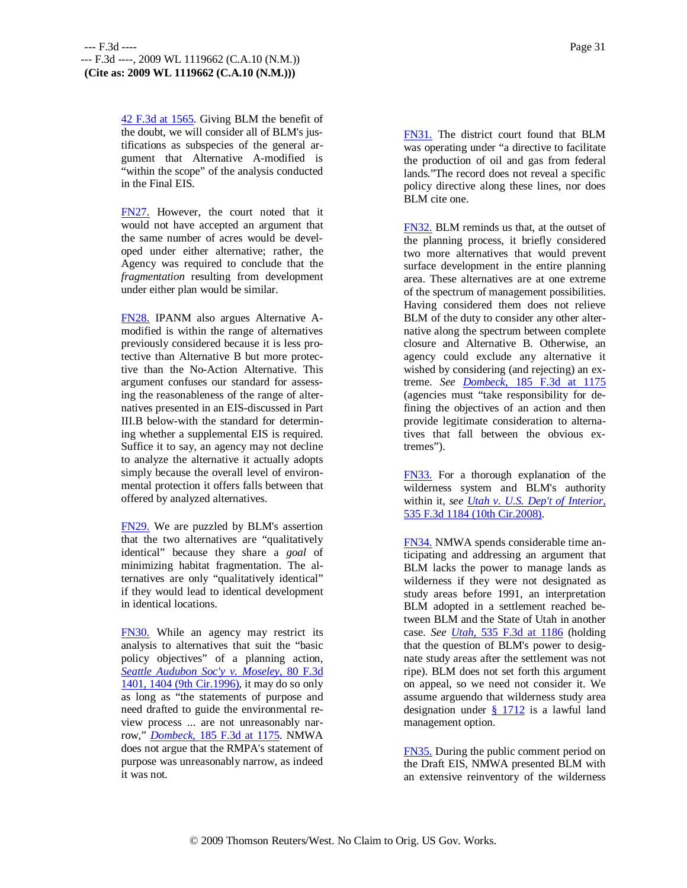42 F.3d at 1565. Giving BLM the benefit of the doubt, we will consider all of BLM's justifications as subspecies of the general argument that Alternative A-modified is "within the scope" of the analysis conducted in the Final EIS.

FN27. However, the court noted that it would not have accepted an argument that the same number of acres would be developed under either alternative; rather, the Agency was required to conclude that the *fragmentation* resulting from development under either plan would be similar.

FN28. IPANM also argues Alternative Amodified is within the range of alternatives previously considered because it is less protective than Alternative B but more protective than the No-Action Alternative. This argument confuses our standard for assessing the reasonableness of the range of alternatives presented in an EIS-discussed in Part III.B below-with the standard for determining whether a supplemental EIS is required. Suffice it to say, an agency may not decline to analyze the alternative it actually adopts simply because the overall level of environmental protection it offers falls between that offered by analyzed alternatives.

FN29. We are puzzled by BLM's assertion that the two alternatives are "qualitatively identical" because they share a *goal* of minimizing habitat fragmentation. The alternatives are only "qualitatively identical" if they would lead to identical development in identical locations.

FN30. While an agency may restrict its analysis to alternatives that suit the "basic policy objectives" of a planning action, *Seattle Audubon Soc'y v. Moseley,* 80 F.3d 1401, 1404 (9th Cir.1996), it may do so only as long as "the statements of purpose and need drafted to guide the environmental review process ... are not unreasonably narrow," *Dombeck,* 185 F.3d at 1175. NMWA does not argue that the RMPA's statement of purpose was unreasonably narrow, as indeed it was not.

FN31. The district court found that BLM was operating under "a directive to facilitate the production of oil and gas from federal lands."The record does not reveal a specific policy directive along these lines, nor does BLM cite one.

FN32. BLM reminds us that, at the outset of the planning process, it briefly considered two more alternatives that would prevent surface development in the entire planning area. These alternatives are at one extreme of the spectrum of management possibilities. Having considered them does not relieve BLM of the duty to consider any other alternative along the spectrum between complete closure and Alternative B. Otherwise, an agency could exclude any alternative it wished by considering (and rejecting) an extreme. *See Dombeck,* 185 F.3d at 1175 (agencies must "take responsibility for defining the objectives of an action and then provide legitimate consideration to alternatives that fall between the obvious extremes").

FN33. For a thorough explanation of the wilderness system and BLM's authority within it, *see Utah v. U.S. Dep't of Interior,* 535 F.3d 1184 (10th Cir.2008).

FN34. NMWA spends considerable time anticipating and addressing an argument that BLM lacks the power to manage lands as wilderness if they were not designated as study areas before 1991, an interpretation BLM adopted in a settlement reached between BLM and the State of Utah in another case. *See Utah,* 535 F.3d at 1186 (holding that the question of BLM's power to designate study areas after the settlement was not ripe). BLM does not set forth this argument on appeal, so we need not consider it. We assume arguendo that wilderness study area designation under  $\frac{8}{9}$  1712 is a lawful land management option.

FN35. During the public comment period on the Draft EIS, NMWA presented BLM with an extensive reinventory of the wilderness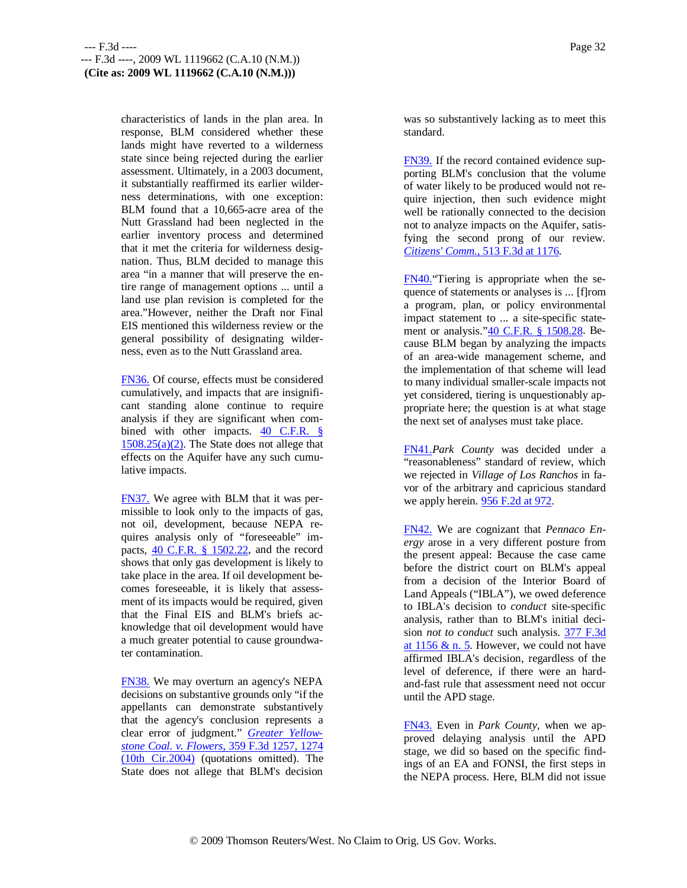characteristics of lands in the plan area. In response, BLM considered whether these lands might have reverted to a wilderness state since being rejected during the earlier assessment. Ultimately, in a 2003 document, it substantially reaffirmed its earlier wilderness determinations, with one exception: BLM found that a 10,665-acre area of the Nutt Grassland had been neglected in the earlier inventory process and determined that it met the criteria for wilderness designation. Thus, BLM decided to manage this area "in a manner that will preserve the entire range of management options ... until a land use plan revision is completed for the area."However, neither the Draft nor Final EIS mentioned this wilderness review or the general possibility of designating wilderness, even as to the Nutt Grassland area.

FN36. Of course, effects must be considered cumulatively, and impacts that are insignificant standing alone continue to require analysis if they are significant when combined with other impacts.  $40$  C.F.R. §  $1508.25(a)(2)$ . The State does not allege that effects on the Aquifer have any such cumulative impacts.

FN37. We agree with BLM that it was permissible to look only to the impacts of gas, not oil, development, because NEPA requires analysis only of "foreseeable" impacts, 40 C.F.R. § 1502.22, and the record shows that only gas development is likely to take place in the area. If oil development becomes foreseeable, it is likely that assessment of its impacts would be required, given that the Final EIS and BLM's briefs acknowledge that oil development would have a much greater potential to cause groundwater contamination.

FN38. We may overturn an agency's NEPA decisions on substantive grounds only "if the appellants can demonstrate substantively that the agency's conclusion represents a clear error of judgment." *Greater Yellowstone Coal. v. Flowers,* 359 F.3d 1257, 1274 (10th Cir.2004) (quotations omitted). The State does not allege that BLM's decision

was so substantively lacking as to meet this standard.

FN39. If the record contained evidence supporting BLM's conclusion that the volume of water likely to be produced would not require injection, then such evidence might well be rationally connected to the decision not to analyze impacts on the Aquifer, satisfying the second prong of our review. *Citizens' Comm.,* 513 F.3d at 1176.

FN40."Tiering is appropriate when the sequence of statements or analyses is ... [f]rom a program, plan, or policy environmental impact statement to ... a site-specific statement or analysis."40 C.F.R. § 1508.28. Because BLM began by analyzing the impacts of an area-wide management scheme, and the implementation of that scheme will lead to many individual smaller-scale impacts not yet considered, tiering is unquestionably appropriate here; the question is at what stage the next set of analyses must take place.

FN41.*Park County* was decided under a "reasonableness" standard of review, which we rejected in *Village of Los Ranchos* in favor of the arbitrary and capricious standard we apply herein. 956 F.2d at 972.

FN42. We are cognizant that *Pennaco Energy* arose in a very different posture from the present appeal: Because the case came before the district court on BLM's appeal from a decision of the Interior Board of Land Appeals ("IBLA"), we owed deference to IBLA's decision to *conduct* site-specific analysis, rather than to BLM's initial decision *not to conduct* such analysis. 377 F.3d at 1156 & n. 5. However, we could not have affirmed IBLA's decision, regardless of the level of deference, if there were an hardand-fast rule that assessment need not occur until the APD stage.

FN43. Even in *Park County,* when we approved delaying analysis until the APD stage, we did so based on the specific findings of an EA and FONSI, the first steps in the NEPA process. Here, BLM did not issue